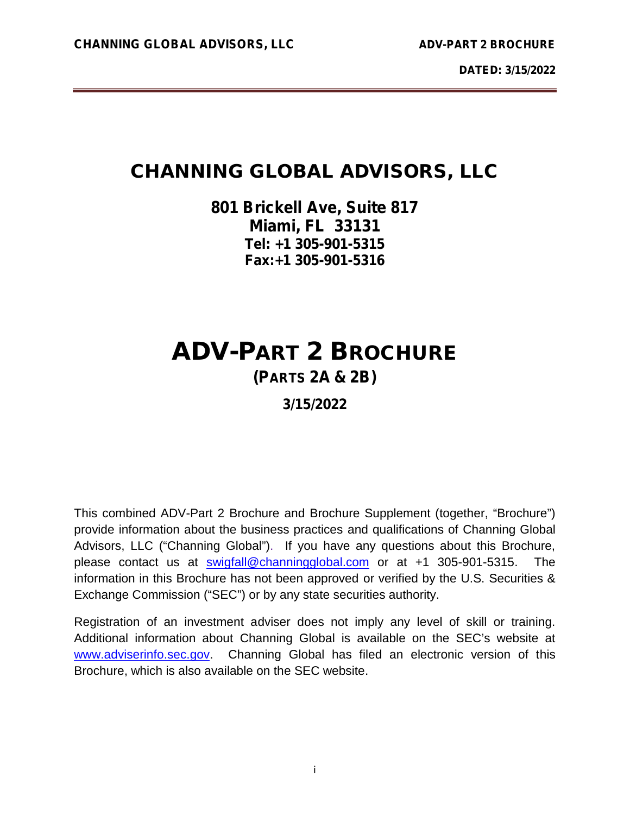# **CHANNING GLOBAL ADVISORS, LLC**

# **801 Brickell Ave, Suite 817 Miami, FL 33131 Tel: +1 305-901-5315 Fax:+1 305-901-5316**

# **ADV-PART 2 BROCHURE (PARTS 2A & 2B)**

# **3/15/2022**

This combined ADV-Part 2 Brochure and Brochure Supplement (together, "Brochure") provide information about the business practices and qualifications of Channing Global Advisors, LLC ("Channing Global"). If you have any questions about this Brochure, please contact us at swigfall@channingglobal.com or at +1 305-901-5315. The information in this Brochure has not been approved or verified by the U.S. Securities & Exchange Commission ("SEC") or by any state securities authority.

Registration of an investment adviser does not imply any level of skill or training. Additional information about Channing Global is available on the SEC's website at www.adviserinfo.sec.gov. Channing Global has filed an electronic version of this Brochure, which is also available on the SEC website.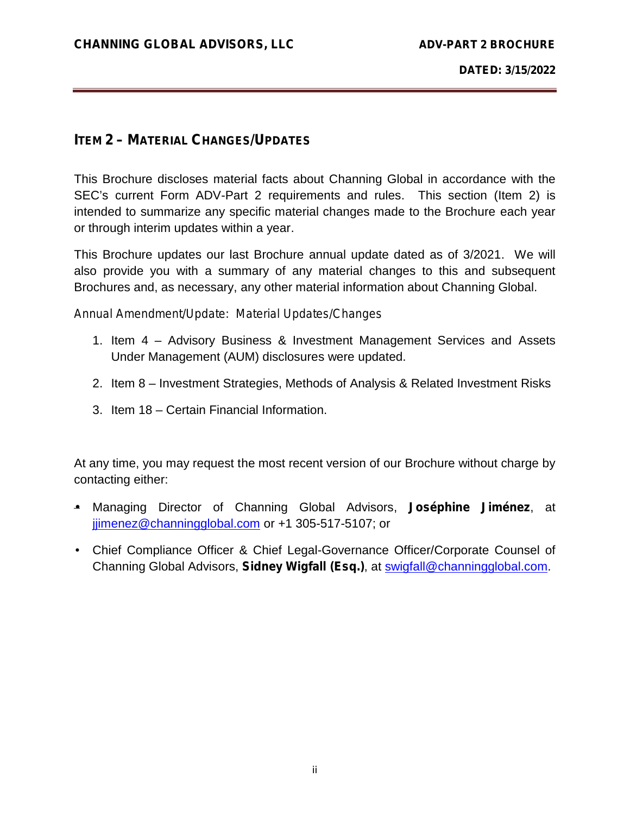# **ITEM 2– MATERIAL CHANGES/UPDATES**

This Brochure discloses material facts about Channing Global in accordance with the SEC's current Form ADV-Part 2 requirements and rules. This section (Item 2) is intended to summarize any specific material changes made to the Brochure each year or through interim updates within a year.

This Brochure updates our last Brochure annual update dated as of 3/2021. We will also provide you with a summary of any material changes to this and subsequent Brochures and, as necessary, any other material information about Channing Global.

*Annual Amendment/Update: Material Updates/Changes*

- 1. Item 4 Advisory Business & Investment Management Services and Assets Under Management (AUM) disclosures were updated.
- 2. Item 8 Investment Strategies, Methods of Analysis & Related Investment Risks
- 3. Item 18 Certain Financial Information.

At any time, you may request the most recent version of our Brochure without charge by contacting either:

- Managing Director of Channing Global Advisors, **Joséphine Jiménez**, at jjimenez@channingglobal.com or +1 305-517-5107; or
- Chief Compliance Officer & Chief Legal-Governance Officer/Corporate Counsel of Channing Global Advisors, **Sidney Wigfall (Esq.)**, at swigfall@channingglobal.com.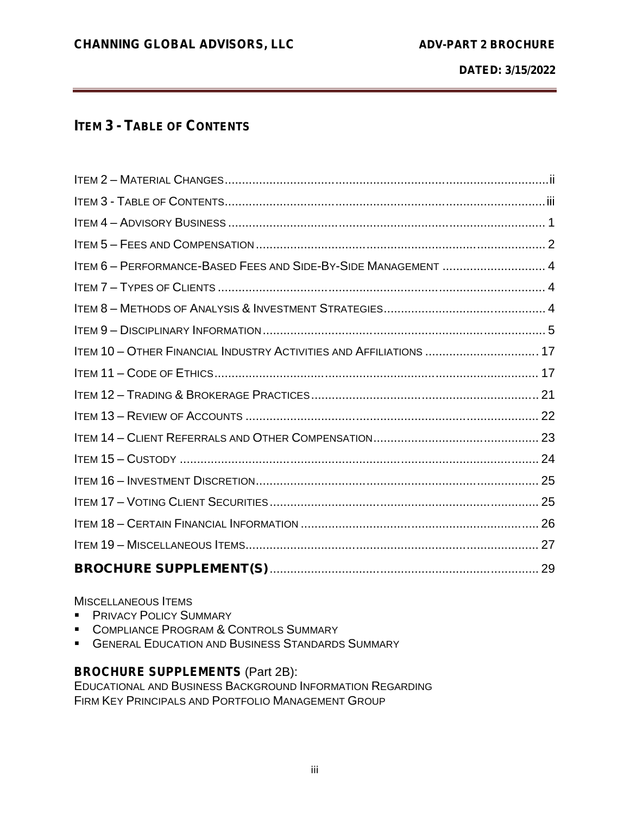# **ITEM 3- TABLE OF CONTENTS**

| ITEM 6 - PERFORMANCE-BASED FEES AND SIDE-BY-SIDE MANAGEMENT  4     |  |
|--------------------------------------------------------------------|--|
|                                                                    |  |
|                                                                    |  |
|                                                                    |  |
| ITEM 10 - OTHER FINANCIAL INDUSTRY ACTIVITIES AND AFFILIATIONS  17 |  |
|                                                                    |  |
|                                                                    |  |
|                                                                    |  |
|                                                                    |  |
|                                                                    |  |
|                                                                    |  |
|                                                                    |  |
|                                                                    |  |
|                                                                    |  |
|                                                                    |  |

#### MISCELLANEOUS ITEMS

- **PRIVACY POLICY SUMMARY**
- COMPLIANCE PROGRAM & CONTROLS SUMMARY
- **GENERAL EDUCATION AND BUSINESS STANDARDS SUMMARY**

# **BROCHURE SUPPLEMENTS** (Part 2B):

EDUCATIONAL AND BUSINESS BACKGROUND INFORMATION REGARDING FIRM KEY PRINCIPALS AND PORTFOLIO MANAGEMENT GROUP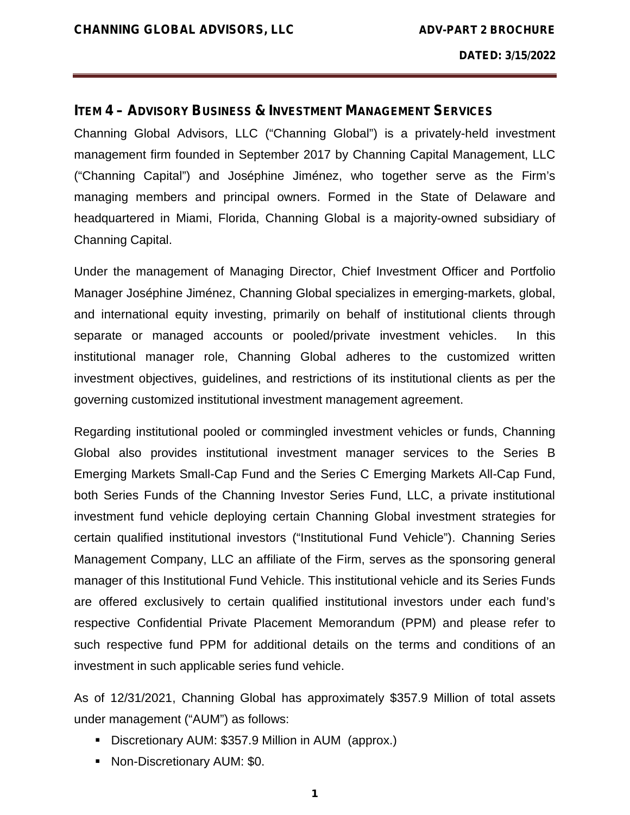#### **ITEM 4– ADVISORY BUSINESS & INVESTMENT MANAGEMENT SERVICES**

Channing Global Advisors, LLC ("Channing Global") is a privately-held investment management firm founded in September 2017 by Channing Capital Management, LLC ("Channing Capital") and Joséphine Jiménez, who together serve as the Firm's managing members and principal owners. Formed in the State of Delaware and headquartered in Miami, Florida, Channing Global is a majority-owned subsidiary of Channing Capital.

Under the management of Managing Director, Chief Investment Officer and Portfolio Manager Joséphine Jiménez, Channing Global specializes in emerging-markets, global, and international equity investing, primarily on behalf of institutional clients through separate or managed accounts or pooled/private investment vehicles. In this institutional manager role, Channing Global adheres to the customized written investment objectives, guidelines, and restrictions of its institutional clients as per the governing customized institutional investment management agreement.

Regarding institutional pooled or commingled investment vehicles or funds, Channing Global also provides institutional investment manager services to the Series B Emerging Markets Small-Cap Fund and the Series C Emerging Markets All-Cap Fund, both Series Funds of the Channing Investor Series Fund, LLC, a private institutional investment fund vehicle deploying certain Channing Global investment strategies for certain qualified institutional investors ("Institutional Fund Vehicle"). Channing Series Management Company, LLC an affiliate of the Firm, serves as the sponsoring general manager of this Institutional Fund Vehicle. This institutional vehicle and its Series Funds are offered exclusively to certain qualified institutional investors under each fund's respective Confidential Private Placement Memorandum (PPM) and please refer to such respective fund PPM for additional details on the terms and conditions of an investment in such applicable series fund vehicle.

As of 12/31/2021, Channing Global has approximately \$357.9 Million of total assets under management ("AUM") as follows:

- Discretionary AUM: \$357.9 Million in AUM (approx.)
- Non-Discretionary AUM: \$0.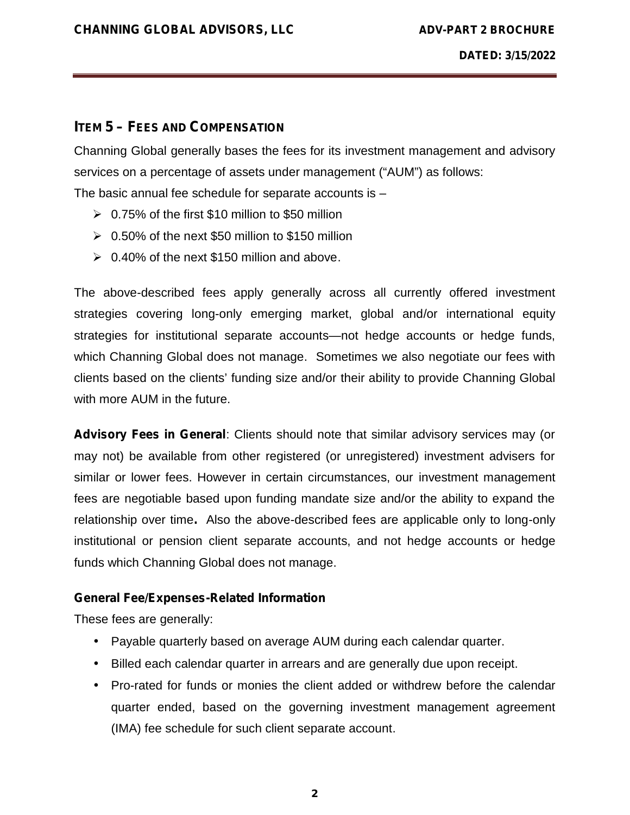# **ITEM 5– FEES AND COMPENSATION**

Channing Global generally bases the fees for its investment management and advisory services on a percentage of assets under management ("AUM") as follows:

The basic annual fee schedule for separate accounts is –

- $\geq 0.75\%$  of the first \$10 million to \$50 million
- $\geq 0.50\%$  of the next \$50 million to \$150 million
- $\geq 0.40\%$  of the next \$150 million and above.

The above-described fees apply generally across all currently offered investment strategies covering long-only emerging market, global and/or international equity strategies for institutional separate accounts—not hedge accounts or hedge funds, which Channing Global does not manage. Sometimes we also negotiate our fees with clients based on the clients' funding size and/or their ability to provide Channing Global with more AUM in the future.

*Advisory Fees in General*: Clients should note that similar advisory services may (or may not) be available from other registered (or unregistered) investment advisers for similar or lower fees. However in certain circumstances, our investment management fees are negotiable based upon funding mandate size and/or the ability to expand the relationship over time**.** Also the above-described fees are applicable only to long-only institutional or pension client separate accounts, and not hedge accounts or hedge funds which Channing Global does not manage.

#### **General Fee/Expenses-Related Information**

These fees are generally:

- Payable quarterly based on average AUM during each calendar quarter.
- Billed each calendar quarter in arrears and are generally due upon receipt.
- Pro-rated for funds or monies the client added or withdrew before the calendar quarter ended, based on the governing investment management agreement (IMA) fee schedule for such client separate account.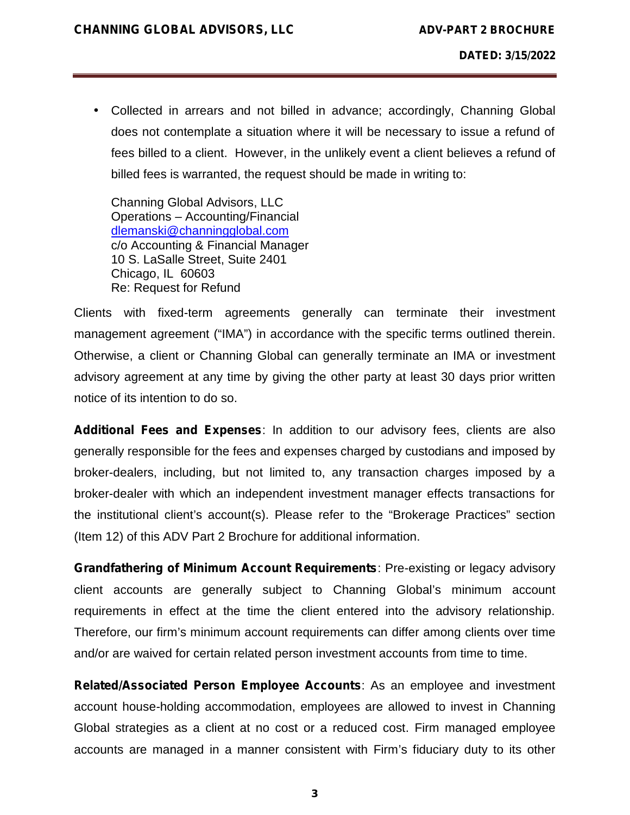Collected in arrears and not billed in advance; accordingly, Channing Global does not contemplate a situation where it will be necessary to issue a refund of fees billed to a client. However, in the unlikely event a client believes a refund of billed fees is warranted, the request should be made in writing to:

Channing Global Advisors, LLC Operations – Accounting/Financial dlemanski@channingglobal.com c/o Accounting & Financial Manager 10 S. LaSalle Street, Suite 2401 Chicago, IL 60603 Re: Request for Refund

Clients with fixed-term agreements generally can terminate their investment management agreement ("IMA") in accordance with the specific terms outlined therein. Otherwise, a client or Channing Global can generally terminate an IMA or investment advisory agreement at any time by giving the other party at least 30 days prior written notice of its intention to do so.

*Additional Fees and Expenses*: In addition to our advisory fees, clients are also generally responsible for the fees and expenses charged by custodians and imposed by broker-dealers, including, but not limited to, any transaction charges imposed by a broker-dealer with which an independent investment manager effects transactions for the institutional client's account(s). Please refer to the "Brokerage Practices" section (Item 12) of this ADV Part 2 Brochure for additional information.

*Grandfathering of Minimum Account Requirements*: Pre-existing or legacy advisory client accounts are generally subject to Channing Global's minimum account requirements in effect at the time the client entered into the advisory relationship. Therefore, our firm's minimum account requirements can differ among clients over time and/or are waived for certain related person investment accounts from time to time.

*Related/Associated Person Employee Accounts*: As an employee and investment account house-holding accommodation, employees are allowed to invest in Channing Global strategies as a client at no cost or a reduced cost. Firm managed employee accounts are managed in a manner consistent with Firm's fiduciary duty to its other

**3**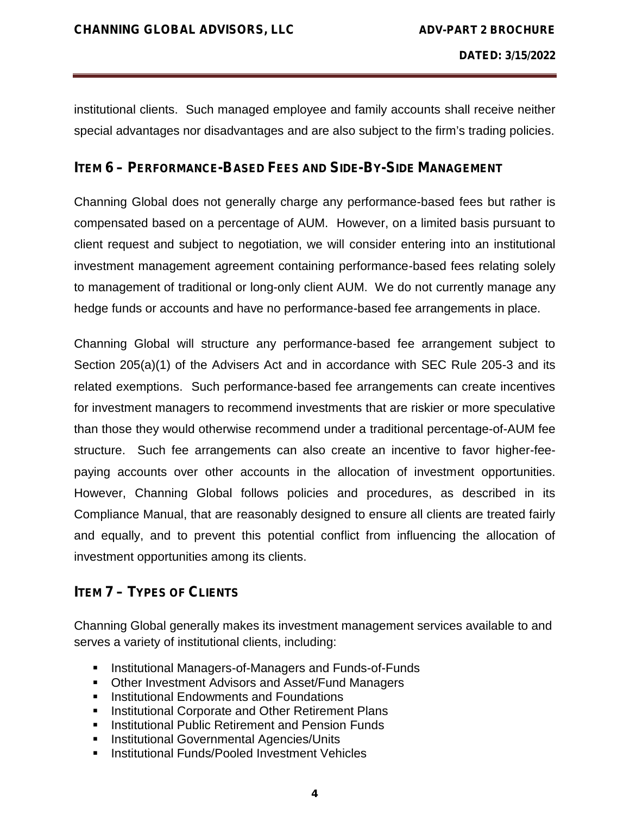institutional clients. Such managed employee and family accounts shall receive neither special advantages nor disadvantages and are also subject to the firm's trading policies.

### **ITEM 6– PERFORMANCE-BASED FEES AND SIDE-BY-SIDE MANAGEMENT**

Channing Global does not generally charge any performance-based fees but rather is compensated based on a percentage of AUM. However, on a limited basis pursuant to client request and subject to negotiation, we will consider entering into an institutional investment management agreement containing performance-based fees relating solely to management of traditional or long-only client AUM. We do not currently manage any hedge funds or accounts and have no performance-based fee arrangements in place.

Channing Global will structure any performance-based fee arrangement subject to Section 205(a)(1) of the Advisers Act and in accordance with SEC Rule 205-3 and its related exemptions. Such performance-based fee arrangements can create incentives for investment managers to recommend investments that are riskier or more speculative than those they would otherwise recommend under a traditional percentage-of-AUM fee structure. Such fee arrangements can also create an incentive to favor higher-fee paying accounts over other accounts in the allocation of investment opportunities. However, Channing Global follows policies and procedures, as described in its Compliance Manual, that are reasonably designed to ensure all clients are treated fairly and equally, and to prevent this potential conflict from influencing the allocation of investment opportunities among its clients.

# **ITEM 7– TYPES OF CLIENTS**

Channing Global generally makes its investment management services available to and serves a variety of institutional clients, including:

- **Institutional Managers-of-Managers and Funds-of-Funds**
- Other Investment Advisors and Asset/Fund Managers
- **Institutional Endowments and Foundations**
- **Institutional Corporate and Other Retirement Plans**
- **Institutional Public Retirement and Pension Funds**
- **Institutional Governmental Agencies/Units**
- **Institutional Funds/Pooled Investment Vehicles**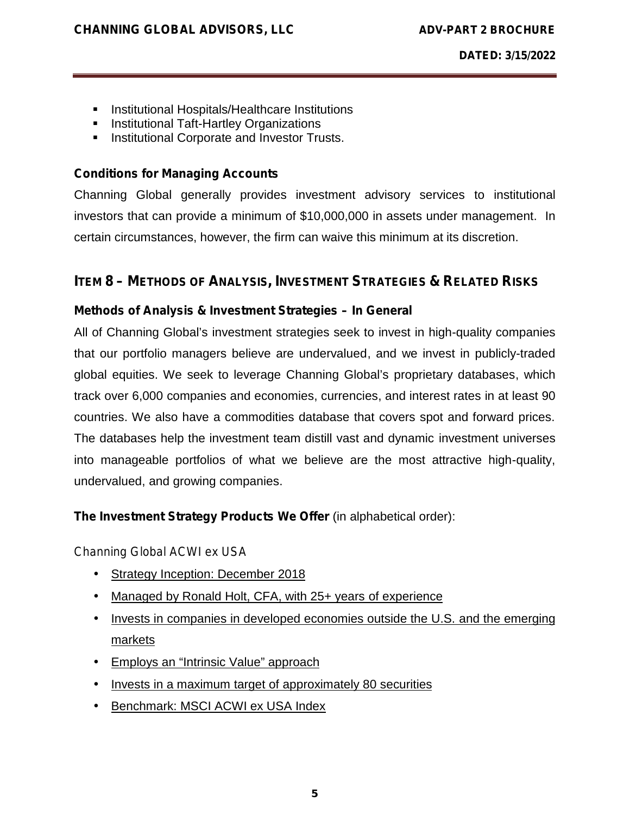- **Institutional Hospitals/Healthcare Institutions**
- **Institutional Taft-Hartley Organizations**
- **Institutional Corporate and Investor Trusts.**

### **Conditions for Managing Accounts**

Channing Global generally provides investment advisory services to institutional investors that can provide a minimum of \$10,000,000 in assets under management. In certain circumstances, however, the firm can waive this minimum at its discretion.

# **ITEM 8– METHODS OF ANALYSIS, INVESTMENT STRATEGIES & RELATED RISKS**

# *Methods of Analysis & Investment Strategies – In General*

All of Channing Global's investment strategies seek to invest in high-quality companies that our portfolio managers believe are undervalued, and we invest in publicly-traded global equities. We seek to leverage Channing Global's proprietary databases, which track over 6,000 companies and economies, currencies, and interest rates in at least 90 countries. We also have a commodities database that covers spot and forward prices. The databases help the investment team distill vast and dynamic investment universes into manageable portfolios of what we believe are the most attractive high-quality, undervalued, and growing companies.

# **The Investment Strategy Products We Offer** (in alphabetical order):

#### *Channing Global ACWI ex USA*

- Strategy Inception: December 2018
- Managed by Ronald Holt, CFA, with 25+ years of experience
- Invests in companies in developed economies outside the U.S. and the emerging markets
- Employs an "Intrinsic Value" approach
- Invests in a maximum target of approximately 80 securities
- Benchmark: MSCI ACWI ex USA Index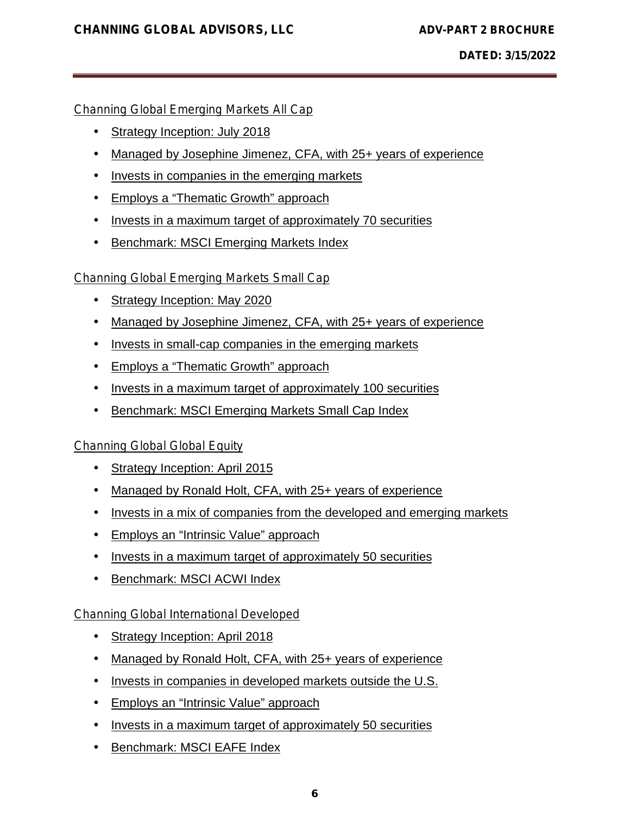### *Channing Global Emerging Markets All Cap*

- Strategy Inception: July 2018
- Managed by Josephine Jimenez, CFA, with 25+ years of experience
- Invests in companies in the emerging markets
- Employs a "Thematic Growth" approach
- Invests in a maximum target of approximately 70 securities
- **Benchmark: MSCI Emerging Markets Index**

### *Channing Global Emerging Markets Small Cap*

- Strategy Inception: May 2020
- Managed by Josephine Jimenez, CFA, with 25+ years of experience
- I Invests in small-cap companies in the emerging markets
- Employs a "Thematic Growth" approach
- I Invests in a maximum target of approximately 100 securities
- Benchmark: MSCI Emerging Markets Small Cap Index

#### *Channing Global Global Equity*

- Strategy Inception: April 2015
- Managed by Ronald Holt, CFA, with 25+ years of experience
- Invests in a mix of companies from the developed and emerging markets
- Employs an "Intrinsic Value" approach
- Invests in a maximum target of approximately 50 securities
- Benchmark: MSCI ACWI Index

#### *Channing Global International Developed*

- Strategy Inception: April 2018
- Managed by Ronald Holt, CFA, with 25+ years of experience
- Invests in companies in developed markets outside the U.S.
- Employs an "Intrinsic Value" approach
- Invests in a maximum target of approximately 50 securities
- Benchmark: MSCI EAFE Index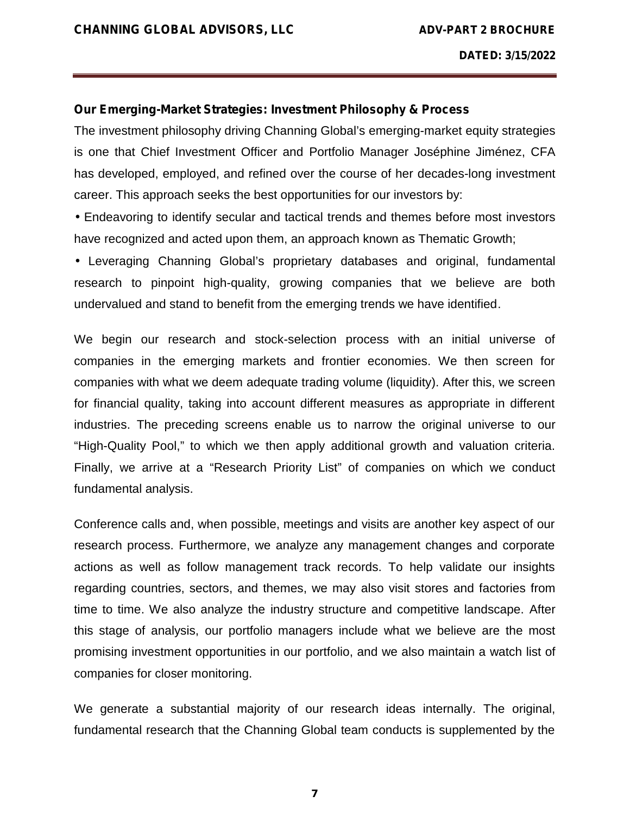#### **Our Emerging-Market Strategies: Investment Philosophy & Process**

The investment philosophy driving Channing Global's emerging-market equity strategies is one that Chief Investment Officer and Portfolio Manager Joséphine Jiménez, CFA has developed, employed, and refined over the course of her decades-long investment career. This approach seeks the best opportunities for our investors by:

 Endeavoring to identify secular and tactical trends and themes before most investors have recognized and acted upon them, an approach known as Thematic Growth;

 Leveraging Channing Global's proprietary databases and original, fundamental research to pinpoint high-quality, growing companies that we believe are both undervalued and stand to benefit from the emerging trends we have identified.

We begin our research and stock-selection process with an initial universe of companies in the emerging markets and frontier economies. We then screen for companies with what we deem adequate trading volume (liquidity). After this, we screen for financial quality, taking into account different measures as appropriate in different industries. The preceding screens enable us to narrow the original universe to our "High-Quality Pool," to which we then apply additional growth and valuation criteria. Finally, we arrive at a "Research Priority List" of companies on which we conduct fundamental analysis.

Conference calls and, when possible, meetings and visits are another key aspect of our research process. Furthermore, we analyze any management changes and corporate actions as well as follow management track records. To help validate our insights regarding countries, sectors, and themes, we may also visit stores and factories from time to time. We also analyze the industry structure and competitive landscape. After this stage of analysis, our portfolio managers include what we believe are the most promising investment opportunities in our portfolio, and we also maintain a watch list of companies for closer monitoring.

We generate a substantial majority of our research ideas internally. The original, fundamental research that the Channing Global team conducts is supplemented by the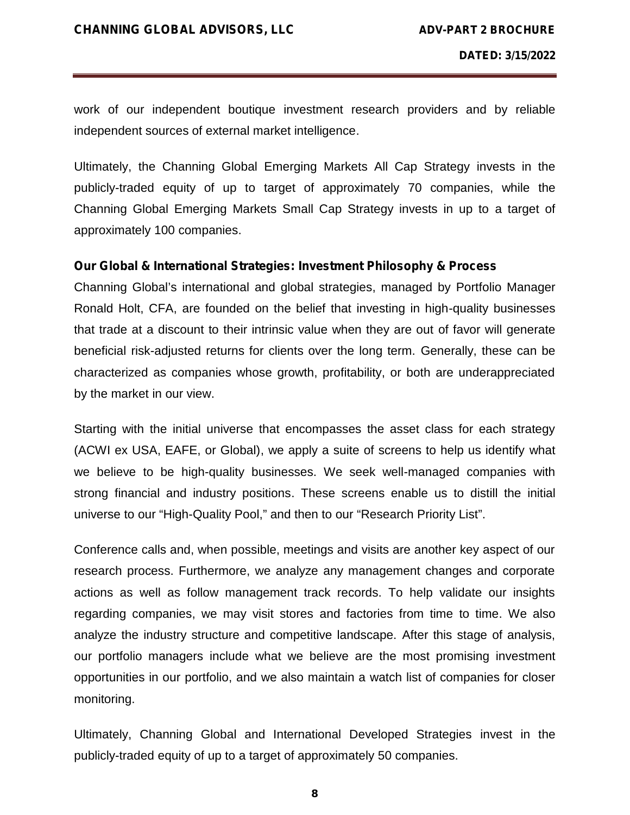work of our independent boutique investment research providers and by reliable independent sources of external market intelligence.

Ultimately, the Channing Global Emerging Markets All Cap Strategy invests in the publicly-traded equity of up to target of approximately 70 companies, while the Channing Global Emerging Markets Small Cap Strategy invests in up to a target of approximately 100 companies.

#### **Our Global & International Strategies: Investment Philosophy & Process**

Channing Global's international and global strategies, managed by Portfolio Manager Ronald Holt, CFA, are founded on the belief that investing in high-quality businesses that trade at a discount to their intrinsic value when they are out of favor will generate beneficial risk-adjusted returns for clients over the long term. Generally, these can be characterized as companies whose growth, profitability, or both are underappreciated by the market in our view.

Starting with the initial universe that encompasses the asset class for each strategy (ACWI ex USA, EAFE, or Global), we apply a suite of screens to help us identify what we believe to be high-quality businesses. We seek well-managed companies with strong financial and industry positions. These screens enable us to distill the initial universe to our "High-Quality Pool," and then to our "Research Priority List".

Conference calls and, when possible, meetings and visits are another key aspect of our research process. Furthermore, we analyze any management changes and corporate actions as well as follow management track records. To help validate our insights regarding companies, we may visit stores and factories from time to time. We also analyze the industry structure and competitive landscape. After this stage of analysis, our portfolio managers include what we believe are the most promising investment opportunities in our portfolio, and we also maintain a watch list of companies for closer monitoring.

Ultimately, Channing Global and International Developed Strategies invest in the publicly-traded equity of up to a target of approximately 50 companies.

**8**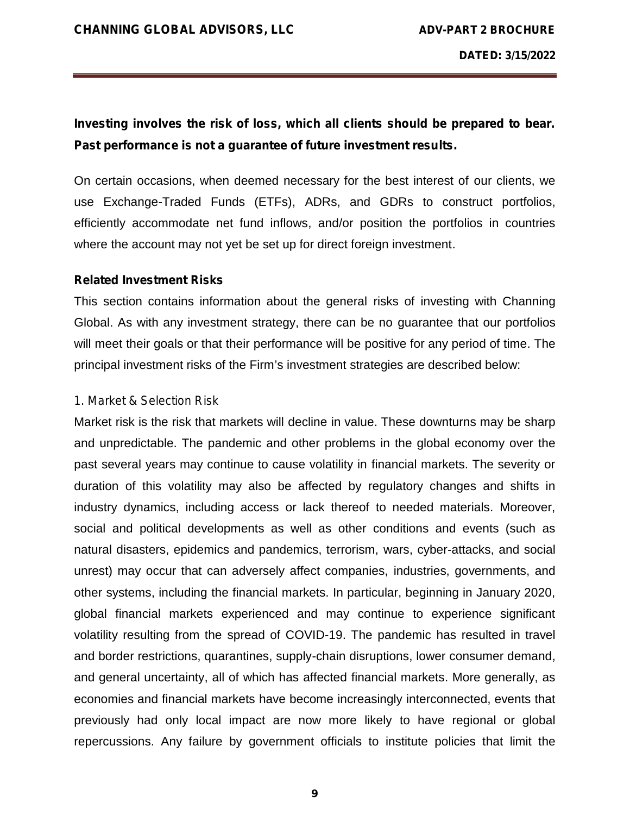# *Investing involves the risk of loss, which all clients should be prepared to bear. Past performance is not a guarantee of future investment results.*

On certain occasions, when deemed necessary for the best interest of our clients, we use Exchange-Traded Funds (ETFs), ADRs, and GDRs to construct portfolios, efficiently accommodate net fund inflows, and/or position the portfolios in countries where the account may not yet be set up for direct foreign investment.

#### *Related Investment Risks*

This section contains information about the general risks of investing with Channing Global. As with any investment strategy, there can be no guarantee that our portfolios will meet their goals or that their performance will be positive for any period of time. The principal investment risks of the Firm's investment strategies are described below:

#### *1. Market & Selection Risk*

Market risk is the risk that markets will decline in value. These downturns may be sharp and unpredictable. The pandemic and other problems in the global economy over the past several years may continue to cause volatility in financial markets. The severity or duration of this volatility may also be affected by regulatory changes and shifts in industry dynamics, including access or lack thereof to needed materials. Moreover, social and political developments as well as other conditions and events (such as natural disasters, epidemics and pandemics, terrorism, wars, cyber-attacks, and social unrest) may occur that can adversely affect companies, industries, governments, and other systems, including the financial markets. In particular, beginning in January 2020, global financial markets experienced and may continue to experience significant volatility resulting from the spread of COVID-19. The pandemic has resulted in travel and border restrictions, quarantines, supply-chain disruptions, lower consumer demand, and general uncertainty, all of which has affected financial markets. More generally, as economies and financial markets have become increasingly interconnected, events that previously had only local impact are now more likely to have regional or global repercussions. Any failure by government officials to institute policies that limit the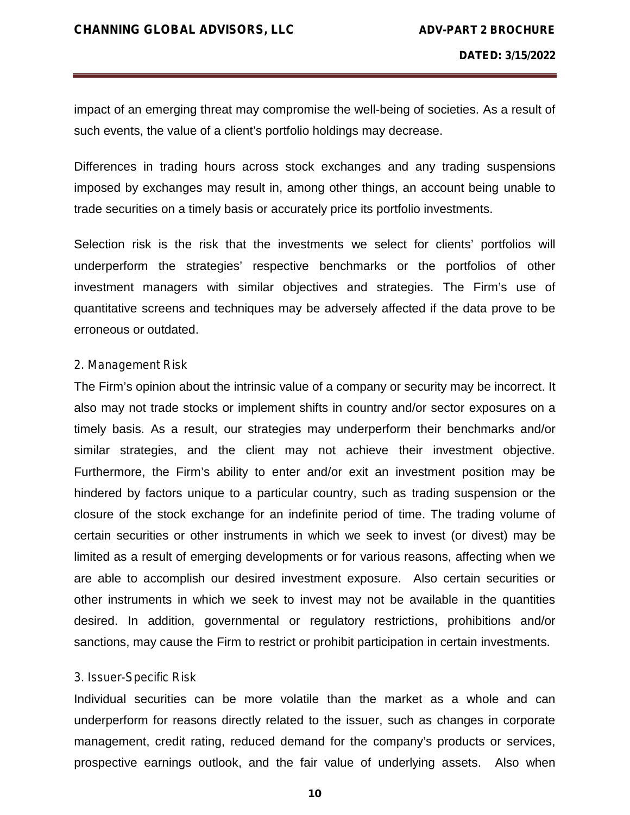impact of an emerging threat may compromise the well-being of societies. As a result of such events, the value of a client's portfolio holdings may decrease.

Differences in trading hours across stock exchanges and any trading suspensions imposed by exchanges may result in, among other things, an account being unable to trade securities on a timely basis or accurately price its portfolio investments.

Selection risk is the risk that the investments we select for clients' portfolios will underperform the strategies' respective benchmarks or the portfolios of other investment managers with similar objectives and strategies. The Firm's use of quantitative screens and techniques may be adversely affected if the data prove to be erroneous or outdated.

#### *2. Management Risk*

The Firm's opinion about the intrinsic value of a company or security may be incorrect. It also may not trade stocks or implement shifts in country and/or sector exposures on a timely basis. As a result, our strategies may underperform their benchmarks and/or similar strategies, and the client may not achieve their investment objective. Furthermore, the Firm's ability to enter and/or exit an investment position may be hindered by factors unique to a particular country, such as trading suspension or the closure of the stock exchange for an indefinite period of time. The trading volume of certain securities or other instruments in which we seek to invest (or divest) may be limited as a result of emerging developments or for various reasons, affecting when we are able to accomplish our desired investment exposure. Also certain securities or other instruments in which we seek to invest may not be available in the quantities desired. In addition, governmental or regulatory restrictions, prohibitions and/or sanctions, may cause the Firm to restrict or prohibit participation in certain investments.

#### *3. Issuer-Specific Risk*

Individual securities can be more volatile than the market as a whole and can underperform for reasons directly related to the issuer, such as changes in corporate management, credit rating, reduced demand for the company's products or services, prospective earnings outlook, and the fair value of underlying assets. Also when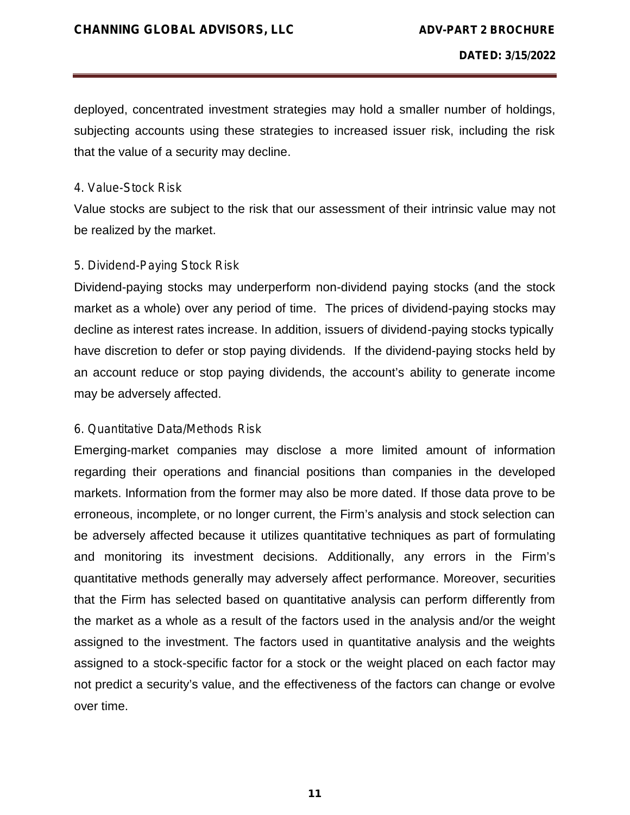deployed, concentrated investment strategies may hold a smaller number of holdings, subjecting accounts using these strategies to increased issuer risk, including the risk that the value of a security may decline.

#### *4. Value-Stock Risk*

Value stocks are subject to the risk that our assessment of their intrinsic value may not be realized by the market.

### *5. Dividend-Paying Stock Risk*

Dividend-paying stocks may underperform non-dividend paying stocks (and the stock market as a whole) over any period of time. The prices of dividend-paying stocks may decline as interest rates increase. In addition, issuers of dividend-paying stocks typically have discretion to defer or stop paying dividends. If the dividend-paying stocks held by an account reduce or stop paying dividends, the account's ability to generate income may be adversely affected.

# *6. Quantitative Data/Methods Risk*

Emerging-market companies may disclose a more limited amount of information regarding their operations and financial positions than companies in the developed markets. Information from the former may also be more dated. If those data prove to be erroneous, incomplete, or no longer current, the Firm's analysis and stock selection can be adversely affected because it utilizes quantitative techniques as part of formulating and monitoring its investment decisions. Additionally, any errors in the Firm's quantitative methods generally may adversely affect performance. Moreover, securities that the Firm has selected based on quantitative analysis can perform differently from the market as a whole as a result of the factors used in the analysis and/or the weight assigned to the investment. The factors used in quantitative analysis and the weights assigned to a stock-specific factor for a stock or the weight placed on each factor may not predict a security's value, and the effectiveness of the factors can change or evolve over time.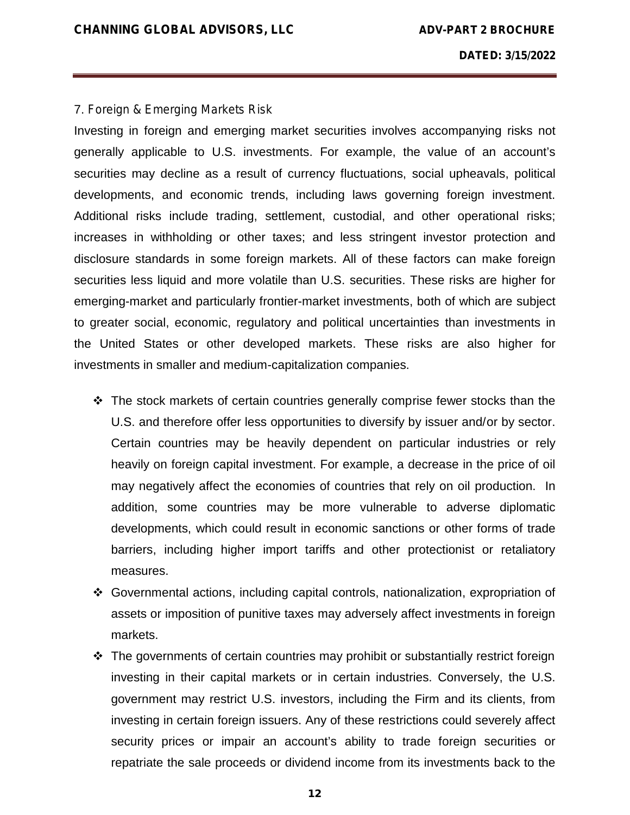#### 7. *Foreign & Emerging Markets Risk*

Investing in foreign and emerging market securities involves accompanying risks not generally applicable to U.S. investments. For example, the value of an account's securities may decline as a result of currency fluctuations, social upheavals, political developments, and economic trends, including laws governing foreign investment. Additional risks include trading, settlement, custodial, and other operational risks; increases in withholding or other taxes; and less stringent investor protection and disclosure standards in some foreign markets. All of these factors can make foreign securities less liquid and more volatile than U.S. securities. These risks are higher for emerging-market and particularly frontier-market investments, both of which are subject to greater social, economic, regulatory and political uncertainties than investments in the United States or other developed markets. These risks are also higher for investments in smaller and medium-capitalization companies.

- $\div$  The stock markets of certain countries generally comprise fewer stocks than the U.S. and therefore offer less opportunities to diversify by issuer and/or by sector. Certain countries may be heavily dependent on particular industries or rely heavily on foreign capital investment. For example, a decrease in the price of oil may negatively affect the economies of countries that rely on oil production. In addition, some countries may be more vulnerable to adverse diplomatic developments, which could result in economic sanctions or other forms of trade barriers, including higher import tariffs and other protectionist or retaliatory measures.
- Governmental actions, including capital controls, nationalization, expropriation of assets or imposition of punitive taxes may adversely affect investments in foreign markets.
- \* The governments of certain countries may prohibit or substantially restrict foreign investing in their capital markets or in certain industries. Conversely, the U.S. government may restrict U.S. investors, including the Firm and its clients, from investing in certain foreign issuers. Any of these restrictions could severely affect security prices or impair an account's ability to trade foreign securities or repatriate the sale proceeds or dividend income from its investments back to the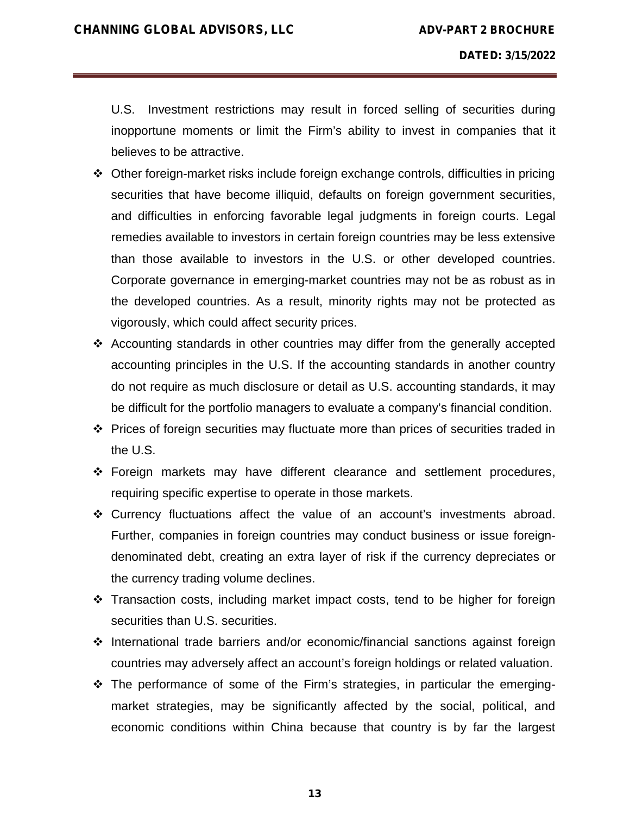U.S. Investment restrictions may result in forced selling of securities during inopportune moments or limit the Firm's ability to invest in companies that it believes to be attractive.

- Other foreign-market risks include foreign exchange controls, difficulties in pricing securities that have become illiquid, defaults on foreign government securities, and difficulties in enforcing favorable legal judgments in foreign courts. Legal remedies available to investors in certain foreign countries may be less extensive than those available to investors in the U.S. or other developed countries. Corporate governance in emerging-market countries may not be as robust as in the developed countries. As a result, minority rights may not be protected as vigorously, which could affect security prices.
- Accounting standards in other countries may differ from the generally accepted accounting principles in the U.S. If the accounting standards in another country do not require as much disclosure or detail as U.S. accounting standards, it may be difficult for the portfolio managers to evaluate a company's financial condition.
- Prices of foreign securities may fluctuate more than prices of securities traded in the U.S.
- Foreign markets may have different clearance and settlement procedures, requiring specific expertise to operate in those markets.
- \* Currency fluctuations affect the value of an account's investments abroad. Further, companies in foreign countries may conduct business or issue foreign denominated debt, creating an extra layer of risk if the currency depreciates or the currency trading volume declines.
- Transaction costs, including market impact costs, tend to be higher for foreign securities than U.S. securities.
- $\cdot$  International trade barriers and/or economic/financial sanctions against foreign countries may adversely affect an account's foreign holdings or related valuation.
- The performance of some of the Firm's strategies, in particular the emerging market strategies, may be significantly affected by the social, political, and economic conditions within China because that country is by far the largest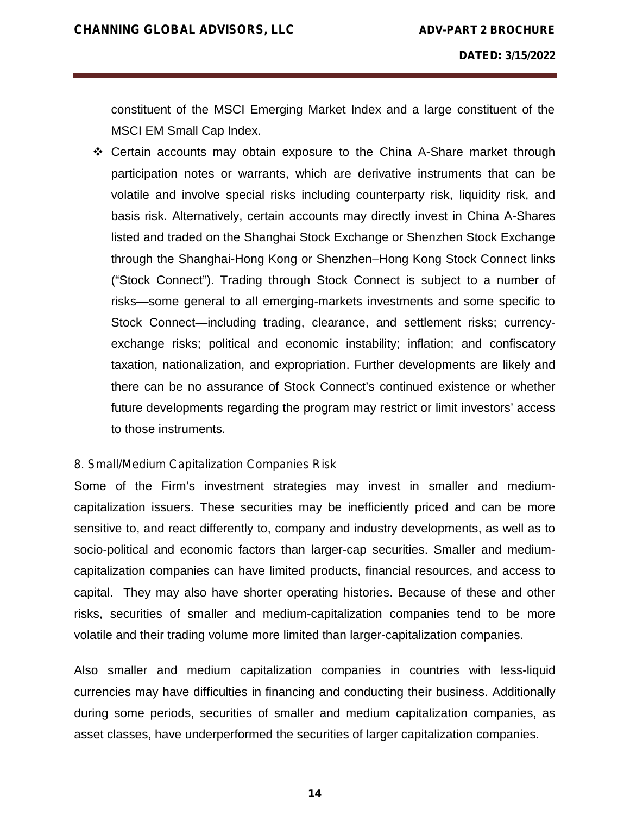constituent of the MSCI Emerging Market Index and a large constituent of the MSCI EM Small Cap Index.

 Certain accounts may obtain exposure to the China A-Share market through participation notes or warrants, which are derivative instruments that can be volatile and involve special risks including counterparty risk, liquidity risk, and basis risk. Alternatively, certain accounts may directly invest in China A-Shares listed and traded on the Shanghai Stock Exchange or Shenzhen Stock Exchange through the Shanghai-Hong Kong or Shenzhen–Hong Kong Stock Connect links ("Stock Connect"). Trading through Stock Connect is subject to a number of risks—some general to all emerging-markets investments and some specific to Stock Connect—including trading, clearance, and settlement risks; currency exchange risks; political and economic instability; inflation; and confiscatory taxation, nationalization, and expropriation. Further developments are likely and there can be no assurance of Stock Connect's continued existence or whether future developments regarding the program may restrict or limit investors' access to those instruments.

#### *8. Small/Medium Capitalization Companies Risk*

Some of the Firm's investment strategies may invest in smaller and medium capitalization issuers. These securities may be inefficiently priced and can be more sensitive to, and react differently to, company and industry developments, as well as to socio-political and economic factors than larger-cap securities. Smaller and medium capitalization companies can have limited products, financial resources, and access to capital. They may also have shorter operating histories. Because of these and other risks, securities of smaller and medium-capitalization companies tend to be more volatile and their trading volume more limited than larger-capitalization companies.

Also smaller and medium capitalization companies in countries with less-liquid currencies may have difficulties in financing and conducting their business. Additionally during some periods, securities of smaller and medium capitalization companies, as asset classes, have underperformed the securities of larger capitalization companies.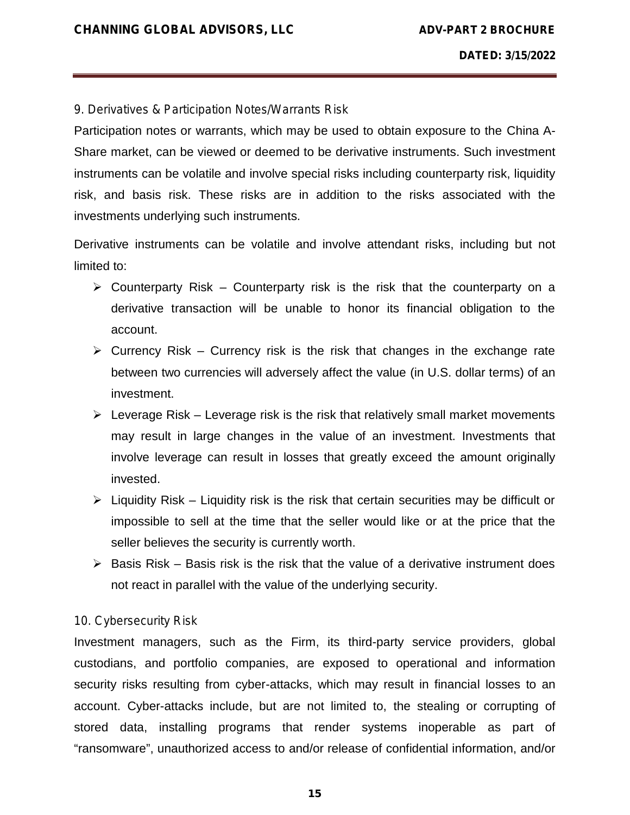#### *9. Derivatives & Participation Notes/Warrants Risk*

Participation notes or warrants, which may be used to obtain exposure to the China A- Share market, can be viewed or deemed to be derivative instruments. Such investment instruments can be volatile and involve special risks including counterparty risk, liquidity risk, and basis risk. These risks are in addition to the risks associated with the investments underlying such instruments.

Derivative instruments can be volatile and involve attendant risks, including but not limited to:

- $\triangleright$  Counterparty Risk Counterparty risk is the risk that the counterparty on a derivative transaction will be unable to honor its financial obligation to the account.
- $\triangleright$  Currency Risk Currency risk is the risk that changes in the exchange rate between two currencies will adversely affect the value (in U.S. dollar terms) of an investment.
- $\triangleright$  Leverage Risk Leverage risk is the risk that relatively small market movements may result in large changes in the value of an investment. Investments that involve leverage can result in losses that greatly exceed the amount originally invested.
- $\triangleright$  Liquidity Risk Liquidity risk is the risk that certain securities may be difficult or impossible to sell at the time that the seller would like or at the price that the seller believes the security is currently worth.
- $\triangleright$  Basis Risk Basis risk is the risk that the value of a derivative instrument does not react in parallel with the value of the underlying security.

#### *10. Cybersecurity Risk*

Investment managers, such as the Firm, its third-party service providers, global custodians, and portfolio companies, are exposed to operational and information security risks resulting from cyber-attacks, which may result in financial losses to an account. Cyber-attacks include, but are not limited to, the stealing or corrupting of stored data, installing programs that render systems inoperable as part of "ransomware", unauthorized access to and/or release of confidential information, and/or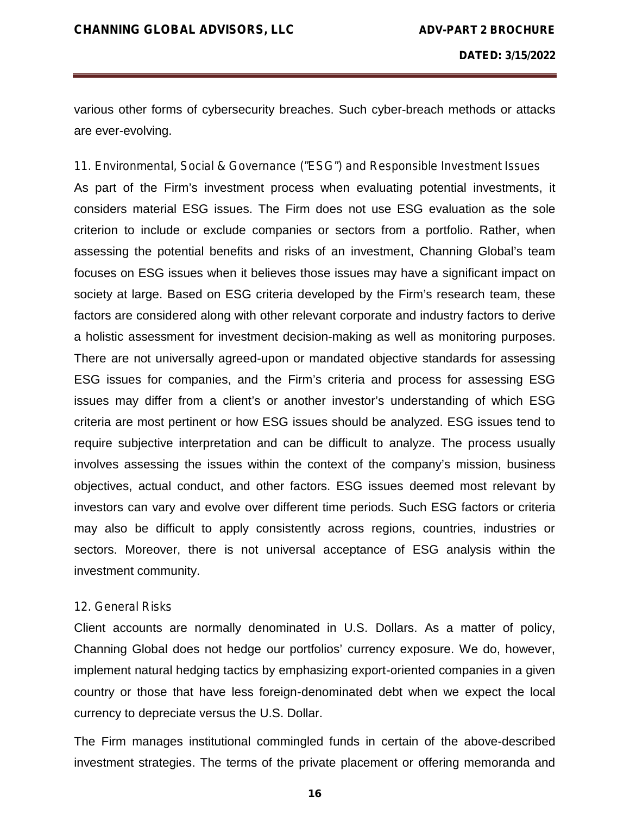various other forms of cybersecurity breaches. Such cyber-breach methods or attacks are ever-evolving.

*11. Environmental, Social & Governance ("ESG") and Responsible Investment Issues* As part of the Firm's investment process when evaluating potential investments, it considers material ESG issues. The Firm does not use ESG evaluation as the sole criterion to include or exclude companies or sectors from a portfolio. Rather, when assessing the potential benefits and risks of an investment, Channing Global's team focuses on ESG issues when it believes those issues may have a significant impact on society at large. Based on ESG criteria developed by the Firm's research team, these factors are considered along with other relevant corporate and industry factors to derive a holistic assessment for investment decision-making as well as monitoring purposes. There are not universally agreed-upon or mandated objective standards for assessing ESG issues for companies, and the Firm's criteria and process for assessing ESG issues may differ from a client's or another investor's understanding of which ESG criteria are most pertinent or how ESG issues should be analyzed. ESG issues tend to require subjective interpretation and can be difficult to analyze. The process usually involves assessing the issues within the context of the company's mission, business objectives, actual conduct, and other factors. ESG issues deemed most relevant by investors can vary and evolve over different time periods. Such ESG factors or criteria may also be difficult to apply consistently across regions, countries, industries or sectors. Moreover, there is not universal acceptance of ESG analysis within the investment community.

#### *12. General Risks*

Client accounts are normally denominated in U.S. Dollars. As a matter of policy, Channing Global does not hedge our portfolios' currency exposure. We do, however, implement natural hedging tactics by emphasizing export-oriented companies in a given country or those that have less foreign-denominated debt when we expect the local currency to depreciate versus the U.S. Dollar.

The Firm manages institutional commingled funds in certain of the above-described investment strategies. The terms of the private placement or offering memoranda and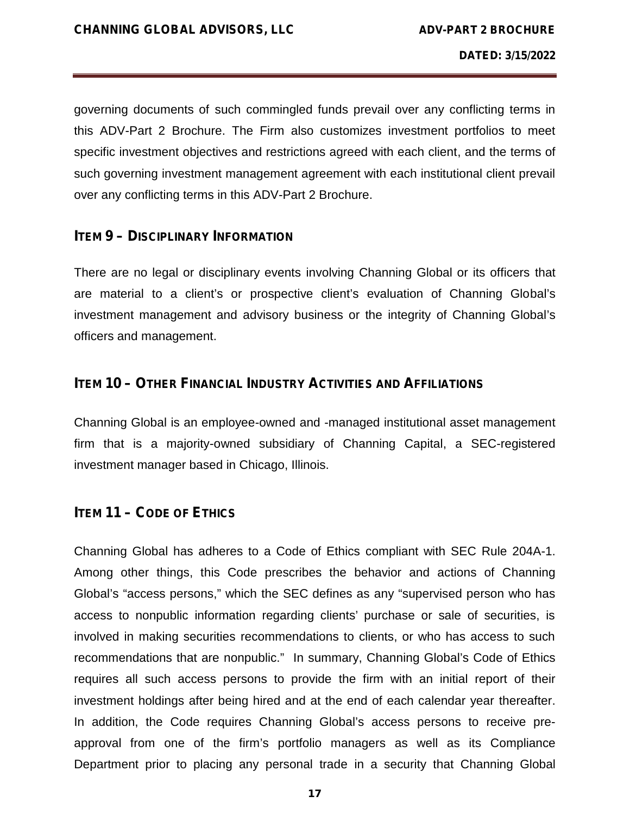governing documents of such commingled funds prevail over any conflicting terms in this ADV-Part 2 Brochure. The Firm also customizes investment portfolios to meet specific investment objectives and restrictions agreed with each client, and the terms of such governing investment management agreement with each institutional client prevail over any conflicting terms in this ADV-Part 2 Brochure.

#### **ITEM 9– DISCIPLINARY INFORMATION**

There are no legal or disciplinary events involving Channing Global or its officers that are material to a client's or prospective client's evaluation of Channing Global's investment management and advisory business or the integrity of Channing Global's officers and management.

# **ITEM 10 – OTHER FINANCIAL INDUSTRY ACTIVITIES AND AFFILIATIONS**

Channing Global is an employee-owned and -managed institutional asset management firm that is a majority-owned subsidiary of Channing Capital, a SEC-registered investment manager based in Chicago, Illinois.

#### **ITEM 11 – CODE OF ETHICS**

Channing Global has adheres to a Code of Ethics compliant with SEC Rule 204A-1. Among other things, this Code prescribes the behavior and actions of Channing Global's "access persons," which the SEC defines as any "supervised person who has access to nonpublic information regarding clients' purchase or sale of securities, is involved in making securities recommendations to clients, or who has access to such recommendations that are nonpublic." In summary, Channing Global's Code of Ethics requires all such access persons to provide the firm with an initial report of their investment holdings after being hired and at the end of each calendar year thereafter. In addition, the Code requires Channing Global's access persons to receive pre approval from one of the firm's portfolio managers as well as its Compliance Department prior to placing any personal trade in a security that Channing Global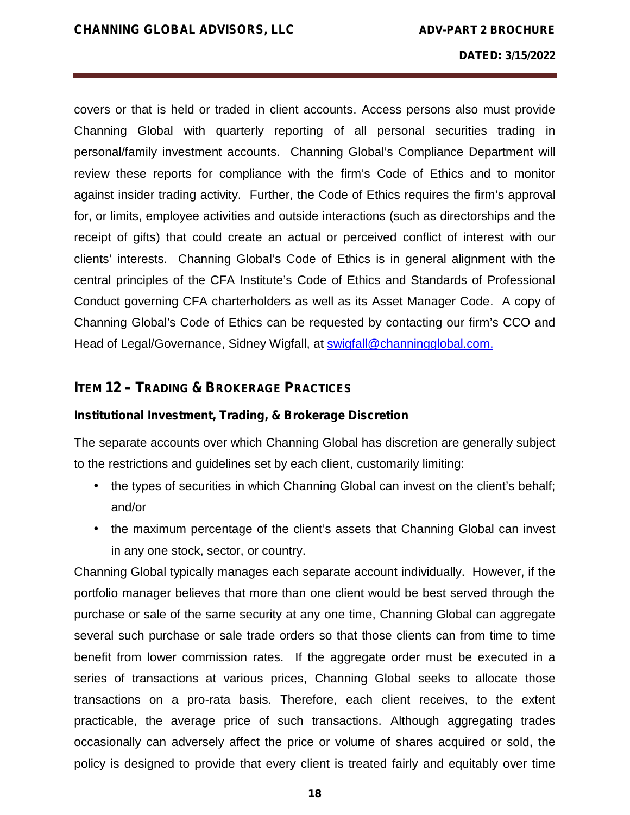covers or that is held or traded in client accounts. Access persons also must provide Channing Global with quarterly reporting of all personal securities trading in personal/family investment accounts. Channing Global's Compliance Department will review these reports for compliance with the firm's Code of Ethics and to monitor against insider trading activity. Further, the Code of Ethics requires the firm's approval for, or limits, employee activities and outside interactions (such as directorships and the receipt of gifts) that could create an actual or perceived conflict of interest with our clients' interests. Channing Global's Code of Ethics is in general alignment with the central principles of the CFA Institute's Code of Ethics and Standards of Professional Conduct governing CFA charterholders as well as its Asset Manager Code. A copy of Channing Global's Code of Ethics can be requested by contacting our firm's CCO and Head of Legal/Governance, Sidney Wigfall, at swigfall@channingglobal.com.

# **ITEM 12 – TRADING & BROKERAGE PRACTICES**

#### **Institutional Investment, Trading, & Brokerage Discretion**

The separate accounts over which Channing Global has discretion are generally subject to the restrictions and guidelines set by each client, customarily limiting:

- I the types of securities in which Channing Global can invest on the client's behalf; and/or
- the maximum percentage of the client's assets that Channing Global can invest in any one stock, sector, or country.

Channing Global typically manages each separate account individually. However, if the portfolio manager believes that more than one client would be best served through the purchase or sale of the same security at any one time, Channing Global can aggregate several such purchase or sale trade orders so that those clients can from time to time benefit from lower commission rates. If the aggregate order must be executed in a series of transactions at various prices, Channing Global seeks to allocate those transactions on a pro-rata basis. Therefore, each client receives, to the extent practicable, the average price of such transactions. Although aggregating trades occasionally can adversely affect the price or volume of shares acquired or sold, the policy is designed to provide that every client is treated fairly and equitably over time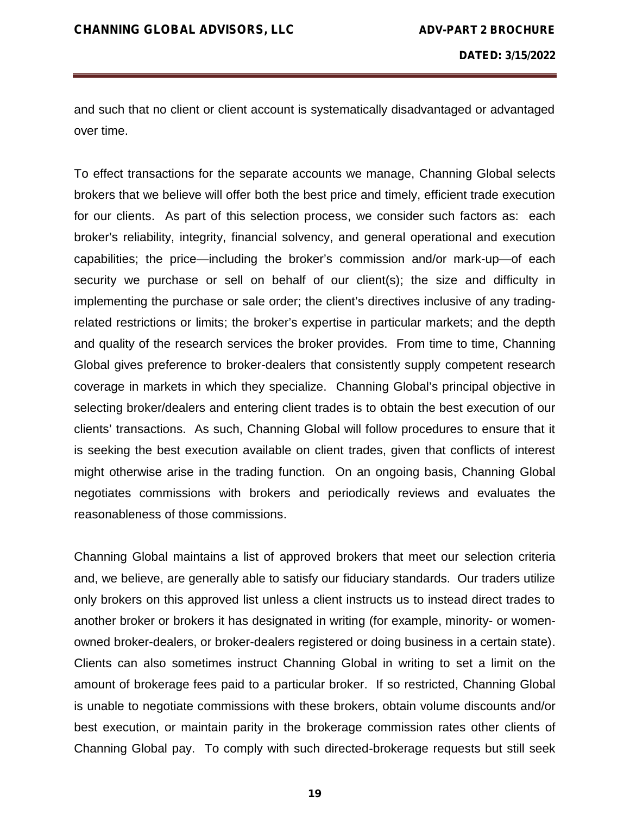and such that no client or client account is systematically disadvantaged or advantaged over time.

To effect transactions for the separate accounts we manage, Channing Global selects brokers that we believe will offer both the best price and timely, efficient trade execution for our clients. As part of this selection process, we consider such factors as: each broker's reliability, integrity, financial solvency, and general operational and execution capabilities; the price—including the broker's commission and/or mark-up—of each security we purchase or sell on behalf of our client(s); the size and difficulty in implementing the purchase or sale order; the client's directives inclusive of any tradingrelated restrictions or limits; the broker's expertise in particular markets; and the depth and quality of the research services the broker provides. From time to time, Channing Global gives preference to broker-dealers that consistently supply competent research coverage in markets in which they specialize. Channing Global's principal objective in selecting broker/dealers and entering client trades is to obtain the best execution of our clients' transactions. As such, Channing Global will follow procedures to ensure that it is seeking the best execution available on client trades, given that conflicts of interest might otherwise arise in the trading function. On an ongoing basis, Channing Global negotiates commissions with brokers and periodically reviews and evaluates the reasonableness of those commissions.

Channing Global maintains a list of approved brokers that meet our selection criteria and, we believe, are generally able to satisfy our fiduciary standards. Our traders utilize only brokers on this approved list unless a client instructs us to instead direct trades to another broker or brokers it has designated in writing (for example, minority- or women owned broker-dealers, or broker-dealers registered or doing business in a certain state). Clients can also sometimes instruct Channing Global in writing to set a limit on the amount of brokerage fees paid to a particular broker. If so restricted, Channing Global is unable to negotiate commissions with these brokers, obtain volume discounts and/or best execution, or maintain parity in the brokerage commission rates other clients of Channing Global pay. To comply with such directed-brokerage requests but still seek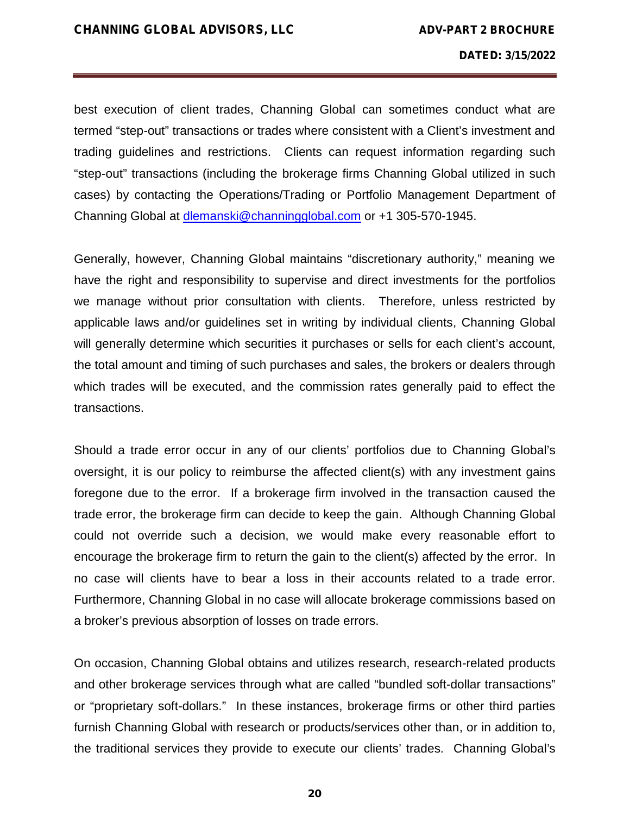best execution of client trades, Channing Global can sometimes conduct what are termed "step-out" transactions or trades where consistent with a Client's investment and trading guidelines and restrictions. Clients can request information regarding such "step-out" transactions (including the brokerage firms Channing Global utilized in such cases) by contacting the Operations/Trading or Portfolio Management Department of Channing Global at dlemanski@channingglobal.com or +1 305-570-1945.

Generally, however, Channing Global maintains "discretionary authority," meaning we have the right and responsibility to supervise and direct investments for the portfolios we manage without prior consultation with clients. Therefore, unless restricted by applicable laws and/or guidelines set in writing by individual clients, Channing Global will generally determine which securities it purchases or sells for each client's account, the total amount and timing of such purchases and sales, the brokers or dealers through which trades will be executed, and the commission rates generally paid to effect the transactions.

Should a trade error occur in any of our clients' portfolios due to Channing Global's oversight, it is our policy to reimburse the affected client(s) with any investment gains foregone due to the error. If a brokerage firm involved in the transaction caused the trade error, the brokerage firm can decide to keep the gain. Although Channing Global could not override such a decision, we would make every reasonable effort to encourage the brokerage firm to return the gain to the client(s) affected by the error. In no case will clients have to bear a loss in their accounts related to a trade error. Furthermore, Channing Global in no case will allocate brokerage commissions based on a broker's previous absorption of losses on trade errors.

On occasion, Channing Global obtains and utilizes research, research-related products and other brokerage services through what are called "bundled soft-dollar transactions" or "proprietary soft-dollars." In these instances, brokerage firms or other third parties furnish Channing Global with research or products/services other than, or in addition to, the traditional services they provide to execute our clients' trades. Channing Global's

**20**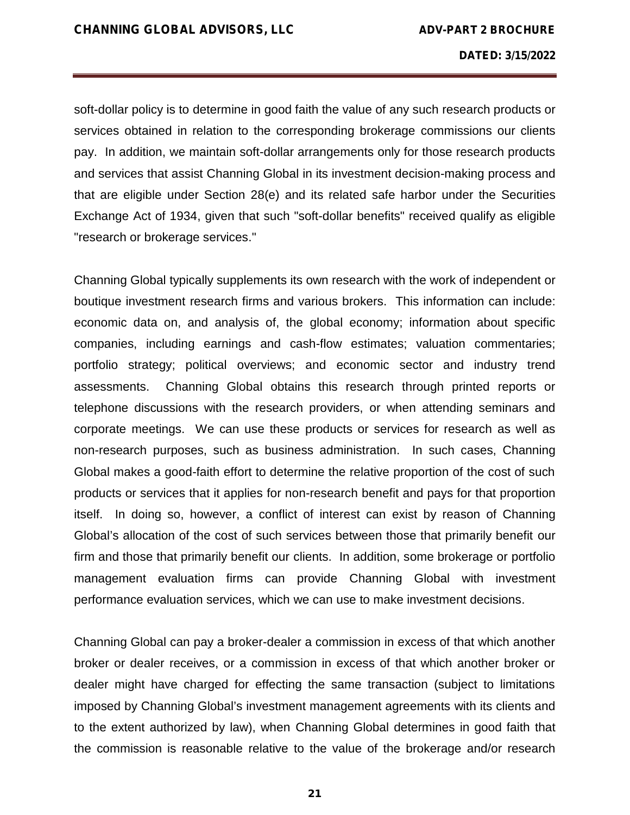soft-dollar policy is to determine in good faith the value of any such research products or services obtained in relation to the corresponding brokerage commissions our clients pay. In addition, we maintain soft-dollar arrangements only for those research products and services that assist Channing Global in its investment decision-making process and that are eligible under Section 28(e) and its related safe harbor under the Securities Exchange Act of 1934, given that such "soft-dollar benefits" received qualify as eligible "research or brokerage services."

Channing Global typically supplements its own research with the work of independent or boutique investment research firms and various brokers. This information can include: economic data on, and analysis of, the global economy; information about specific companies, including earnings and cash-flow estimates; valuation commentaries; portfolio strategy; political overviews; and economic sector and industry trend assessments. Channing Global obtains this research through printed reports or telephone discussions with the research providers, or when attending seminars and corporate meetings. We can use these products or services for research as well as non-research purposes, such as business administration. In such cases, Channing Global makes a good-faith effort to determine the relative proportion of the cost of such products or services that it applies for non-research benefit and pays for that proportion itself. In doing so, however, a conflict of interest can exist by reason of Channing Global's allocation of the cost of such services between those that primarily benefit our firm and those that primarily benefit our clients. In addition, some brokerage or portfolio management evaluation firms can provide Channing Global with investment performance evaluation services, which we can use to make investment decisions.

Channing Global can pay a broker-dealer a commission in excess of that which another broker or dealer receives, or a commission in excess of that which another broker or dealer might have charged for effecting the same transaction (subject to limitations imposed by Channing Global's investment management agreements with its clients and to the extent authorized by law), when Channing Global determines in good faith that the commission is reasonable relative to the value of the brokerage and/or research

**21**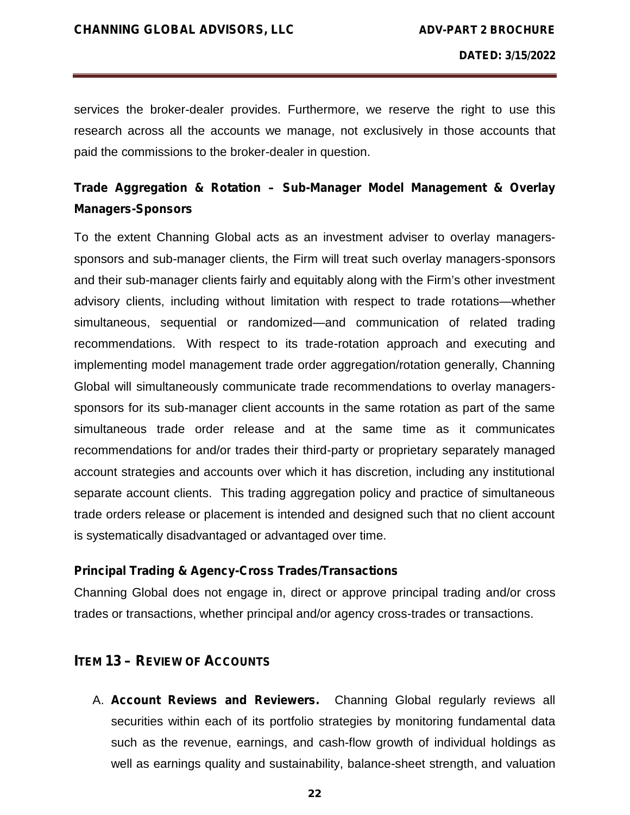services the broker-dealer provides. Furthermore, we reserve the right to use this research across all the accounts we manage, not exclusively in those accounts that paid the commissions to the broker-dealer in question.

# **Trade Aggregation & Rotation – Sub-Manager Model Management & Overlay Managers-Sponsors**

To the extent Channing Global acts as an investment adviser to overlay managers sponsors and sub-manager clients, the Firm will treat such overlay managers-sponsors and their sub-manager clients fairly and equitably along with the Firm's other investment advisory clients, including without limitation with respect to trade rotations—whether simultaneous, sequential or randomized—and communication of related trading recommendations. With respect to its trade-rotation approach and executing and implementing model management trade order aggregation/rotation generally, Channing Global will simultaneously communicate trade recommendations to overlay managers sponsors for its sub-manager client accounts in the same rotation as part of the same simultaneous trade order release and at the same time as it communicates recommendations for and/or trades their third-party or proprietary separately managed account strategies and accounts over which it has discretion, including any institutional separate account clients. This trading aggregation policy and practice of simultaneous trade orders release or placement is intended and designed such that no client account is systematically disadvantaged or advantaged over time.

#### **Principal Trading & Agency-Cross Trades/Transactions**

Channing Global does not engage in, direct or approve principal trading and/or cross trades or transactions, whether principal and/or agency cross-trades or transactions.

### **ITEM 13 – REVIEW OF ACCOUNTS**

A. **Account Reviews and Reviewers.** Channing Global regularly reviews all securities within each of its portfolio strategies by monitoring fundamental data such as the revenue, earnings, and cash-flow growth of individual holdings as well as earnings quality and sustainability, balance-sheet strength, and valuation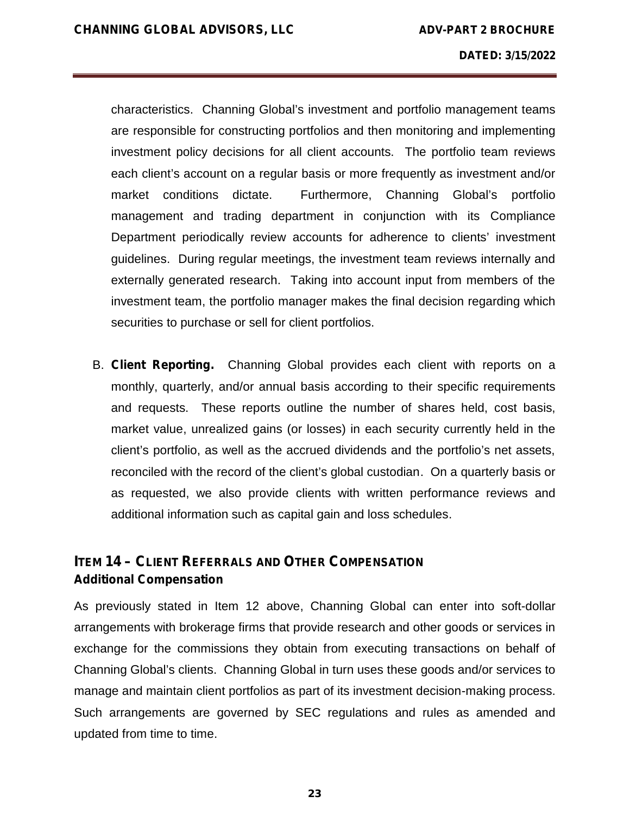characteristics. Channing Global's investment and portfolio management teams are responsible for constructing portfolios and then monitoring and implementing investment policy decisions for all client accounts. The portfolio team reviews each client's account on a regular basis or more frequently as investment and/or market conditions dictate. Furthermore, Channing Global's portfolio management and trading department in conjunction with its Compliance Department periodically review accounts for adherence to clients' investment guidelines. During regular meetings, the investment team reviews internally and externally generated research. Taking into account input from members of the investment team, the portfolio manager makes the final decision regarding which securities to purchase or sell for client portfolios.

B. **Client Reporting.** Channing Global provides each client with reports on a monthly, quarterly, and/or annual basis according to their specific requirements and requests. These reports outline the number of shares held, cost basis, market value, unrealized gains (or losses) in each security currently held in the client's portfolio, as well as the accrued dividends and the portfolio's net assets, reconciled with the record of the client's global custodian. On a quarterly basis or as requested, we also provide clients with written performance reviews and additional information such as capital gain and loss schedules.

# **ITEM 14 – CLIENT REFERRALS AND OTHER COMPENSATION Additional Compensation**

As previously stated in Item 12 above, Channing Global can enter into soft-dollar arrangements with brokerage firms that provide research and other goods or services in exchange for the commissions they obtain from executing transactions on behalf of Channing Global's clients. Channing Global in turn uses these goods and/or services to manage and maintain client portfolios as part of its investment decision-making process. Such arrangements are governed by SEC regulations and rules as amended and updated from time to time.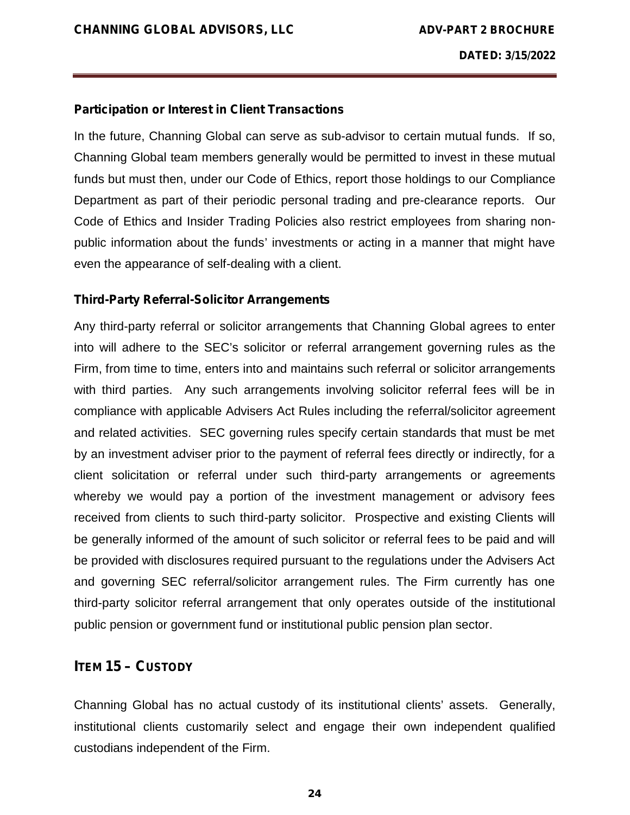#### **Participation or Interest in Client Transactions**

In the future, Channing Global can serve as sub-advisor to certain mutual funds. If so, Channing Global team members generally would be permitted to invest in these mutual funds but must then, under our Code of Ethics, report those holdings to our Compliance Department as part of their periodic personal trading and pre-clearance reports. Our Code of Ethics and Insider Trading Policies also restrict employees from sharing non public information about the funds' investments or acting in a manner that might have even the appearance of self-dealing with a client.

#### **Third-Party Referral-Solicitor Arrangements**

Any third-party referral or solicitor arrangements that Channing Global agrees to enter into will adhere to the SEC's solicitor or referral arrangement governing rules as the Firm, from time to time, enters into and maintains such referral or solicitor arrangements with third parties. Any such arrangements involving solicitor referral fees will be in compliance with applicable Advisers Act Rules including the referral/solicitor agreement and related activities. SEC governing rules specify certain standards that must be met by an investment adviser prior to the payment of referral fees directly or indirectly, for a client solicitation or referral under such third-party arrangements or agreements whereby we would pay a portion of the investment management or advisory fees received from clients to such third-party solicitor. Prospective and existing Clients will be generally informed of the amount of such solicitor or referral fees to be paid and will be provided with disclosures required pursuant to the regulations under the Advisers Act and governing SEC referral/solicitor arrangement rules. The Firm currently has one third-party solicitor referral arrangement that only operates outside of the institutional public pension or government fund or institutional public pension plan sector.

# **ITEM 15 – CUSTODY**

Channing Global has no actual custody of its institutional clients' assets. Generally, institutional clients customarily select and engage their own independent qualified custodians independent of the Firm.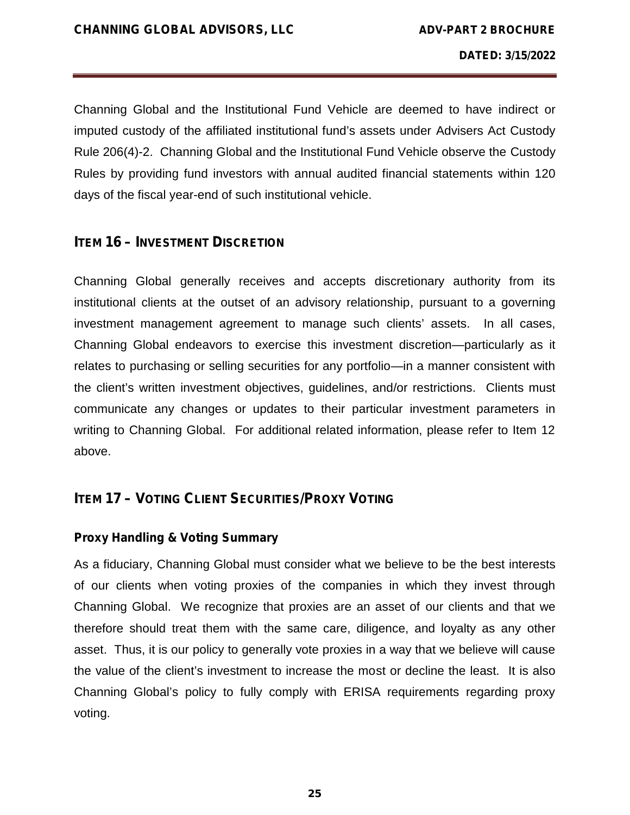Channing Global and the Institutional Fund Vehicle are deemed to have indirect or imputed custody of the affiliated institutional fund's assets under Advisers Act Custody Rule 206(4)-2. Channing Global and the Institutional Fund Vehicle observe the Custody Rules by providing fund investors with annual audited financial statements within 120 days of the fiscal year-end of such institutional vehicle.

# **ITEM 16 – INVESTMENT DISCRETION**

Channing Global generally receives and accepts discretionary authority from its institutional clients at the outset of an advisory relationship, pursuant to a governing investment management agreement to manage such clients' assets. In all cases, Channing Global endeavors to exercise this investment discretion—particularly as it relates to purchasing or selling securities for any portfolio—in a manner consistent with the client's written investment objectives, guidelines, and/or restrictions. Clients must communicate any changes or updates to their particular investment parameters in writing to Channing Global. For additional related information, please refer to Item 12 above.

# **ITEM 17 – VOTING CLIENT SECURITIES/PROXY VOTING**

# **Proxy Handling & Voting Summary**

As a fiduciary, Channing Global must consider what we believe to be the best interests of our clients when voting proxies of the companies in which they invest through Channing Global. We recognize that proxies are an asset of our clients and that we therefore should treat them with the same care, diligence, and loyalty as any other asset. Thus, it is our policy to generally vote proxies in a way that we believe will cause the value of the client's investment to increase the most or decline the least. It is also Channing Global's policy to fully comply with ERISA requirements regarding proxy voting.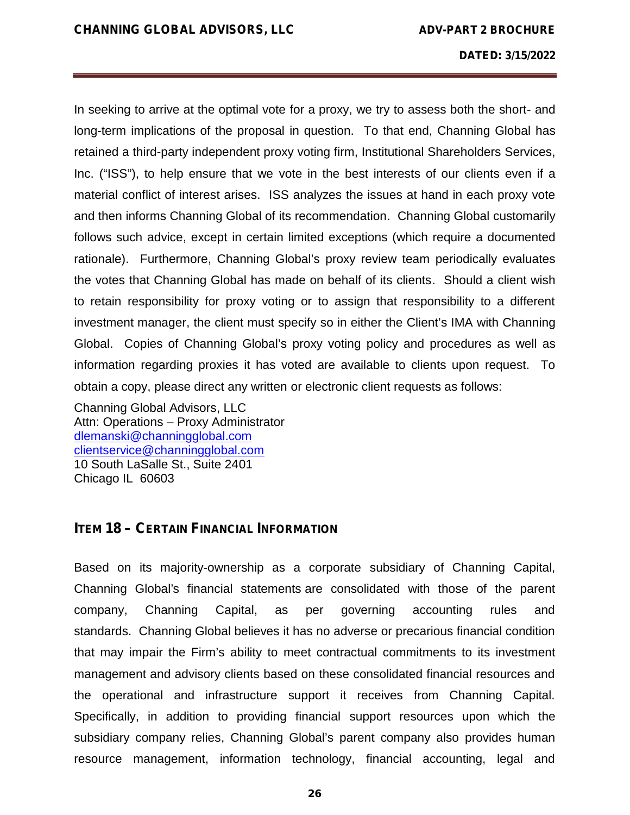In seeking to arrive at the optimal vote for a proxy, we try to assess both the short- and long-term implications of the proposal in question. To that end, Channing Global has retained a third-party independent proxy voting firm, Institutional Shareholders Services, Inc. ("ISS"), to help ensure that we vote in the best interests of our clients even if a material conflict of interest arises. ISS analyzes the issues at hand in each proxy vote and then informs Channing Global of its recommendation. Channing Global customarily follows such advice, except in certain limited exceptions (which require a documented rationale). Furthermore, Channing Global's proxy review team periodically evaluates the votes that Channing Global has made on behalf of its clients. Should a client wish to retain responsibility for proxy voting or to assign that responsibility to a different investment manager, the client must specify so in either the Client's IMA with Channing Global. Copies of Channing Global's proxy voting policy and procedures as well as information regarding proxies it has voted are available to clients upon request. To obtain a copy, please direct any written or electronic client requests as follows:

Channing Global Advisors, LLC Attn: Operations – Proxy Administrator dlemanski@channingglobal.com clientservice@channingglobal.com 10 South LaSalle St., Suite 2401 Chicago IL 60603

#### **ITEM 18 – CERTAIN FINANCIAL INFORMATION**

Based on its majority-ownership as a corporate subsidiary of Channing Capital, Channing Global's financial statements are consolidated with those of the parent company, Channing Capital, as per governing accounting rules and standards. Channing Global believes it has no adverse or precarious financial condition that may impair the Firm's ability to meet contractual commitments to its investment management and advisory clients based on these consolidated financial resources and the operational and infrastructure support it receives from Channing Capital. Specifically, in addition to providing financial support resources upon which the subsidiary company relies, Channing Global's parent company also provides human resource management, information technology, financial accounting, legal and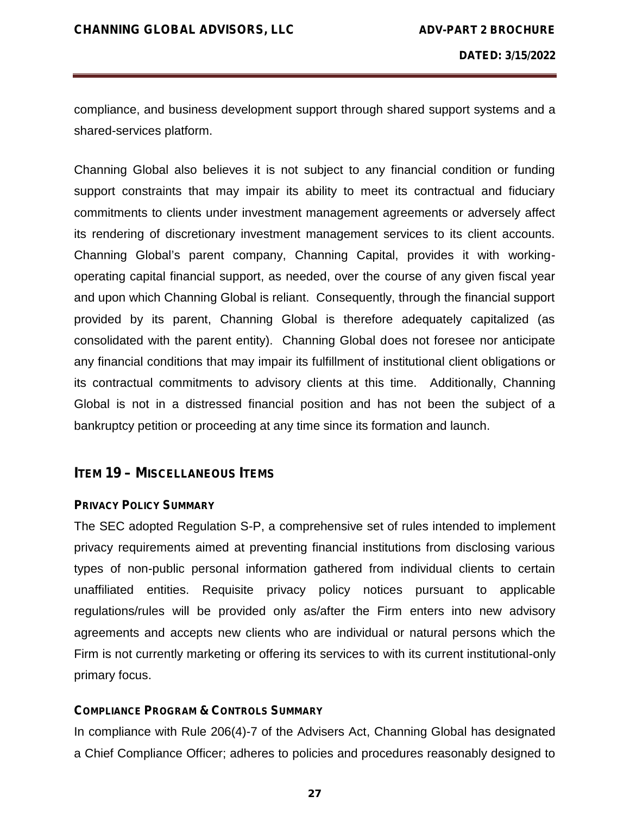compliance, and business development support through shared support systems and a shared-services platform.

Channing Global also believes it is not subject to any financial condition or funding support constraints that may impair its ability to meet its contractual and fiduciary commitments to clients under investment management agreements or adversely affect its rendering of discretionary investment management services to its client accounts. Channing Global's parent company, Channing Capital, provides it with working operating capital financial support, as needed, over the course of any given fiscal year and upon which Channing Global is reliant. Consequently, through the financial support provided by its parent, Channing Global is therefore adequately capitalized (as consolidated with the parent entity). Channing Global does not foresee nor anticipate any financial conditions that may impair its fulfillment of institutional client obligations or its contractual commitments to advisory clients at this time. Additionally, Channing Global is not in a distressed financial position and has not been the subject of a bankruptcy petition or proceeding at any time since its formation and launch.

#### **ITEM 19 – MISCELLANEOUS ITEMS**

#### **PRIVACY POLICY SUMMARY**

The SEC adopted Regulation S-P, a comprehensive set of rules intended to implement privacy requirements aimed at preventing financial institutions from disclosing various types of non-public personal information gathered from individual clients to certain unaffiliated entities. Requisite privacy policy notices pursuant to applicable regulations/rules will be provided only as/after the Firm enters into new advisory agreements and accepts new clients who are individual or natural persons which the Firm is not currently marketing or offering its services to with its current institutional-only primary focus.

#### **COMPLIANCE PROGRAM & CONTROLS SUMMARY**

In compliance with Rule 206(4)-7 of the Advisers Act, Channing Global has designated a Chief Compliance Officer; adheres to policies and procedures reasonably designed to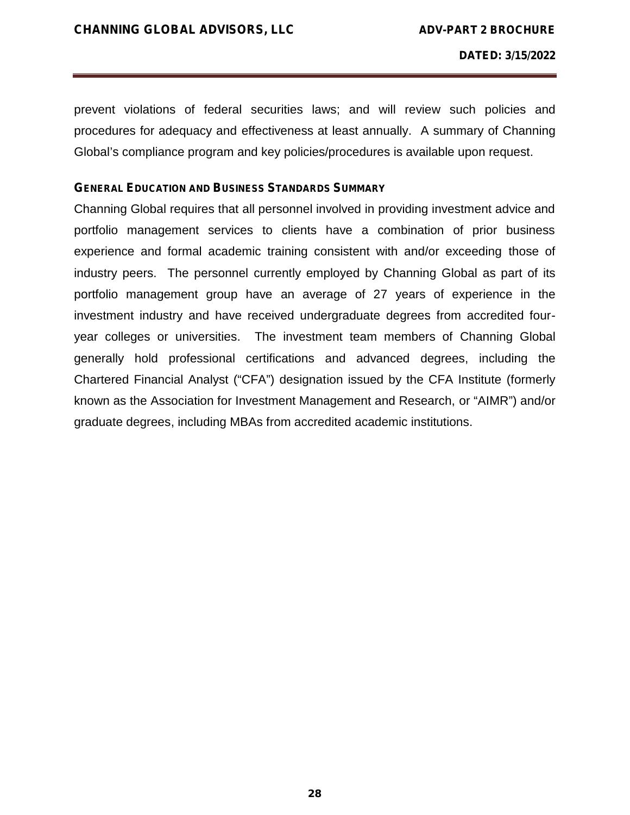prevent violations of federal securities laws; and will review such policies and procedures for adequacy and effectiveness at least annually. A summary of Channing Global's compliance program and key policies/procedures is available upon request.

#### **GENERAL EDUCATION AND BUSINESS STANDARDS SUMMARY**

Channing Global requires that all personnel involved in providing investment advice and portfolio management services to clients have a combination of prior business experience and formal academic training consistent with and/or exceeding those of industry peers. The personnel currently employed by Channing Global as part of its portfolio management group have an average of 27 years of experience in the investment industry and have received undergraduate degrees from accredited four year colleges or universities. The investment team members of Channing Global generally hold professional certifications and advanced degrees, including the Chartered Financial Analyst ("CFA") designation issued by the CFA Institute (formerly known as the Association for Investment Management and Research, or "AIMR") and/or graduate degrees, including MBAs from accredited academic institutions.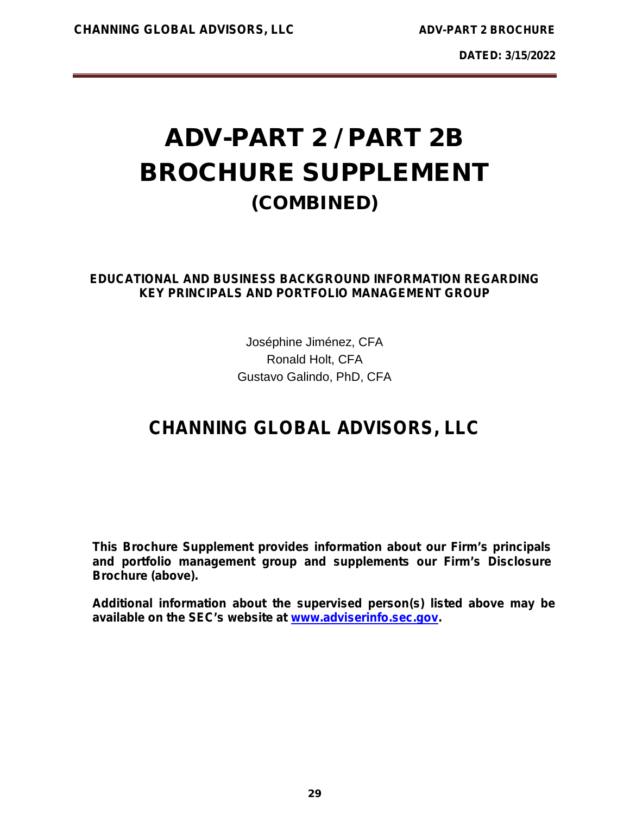# **ADV-PART 2 / PART 2B BROCHURE SUPPLEMENT (COMBINED)**

### **EDUCATIONAL AND BUSINESS BACKGROUND INFORMATION REGARDING KEY PRINCIPALS AND PORTFOLIO MANAGEMENT GROUP**

Joséphine Jiménez, CFA Ronald Holt, CFA Gustavo Galindo, PhD, CFA

# **CHANNING GLOBAL ADVISORS, LLC**

**This Brochure Supplement provides information about our Firm's principals and portfolio management group and supplements our Firm's Disclosure Brochure (above).**

**Additional information about the** *supervised person(s)* **listed above may be available on the SEC's website at www.adviserinfo.sec.gov.**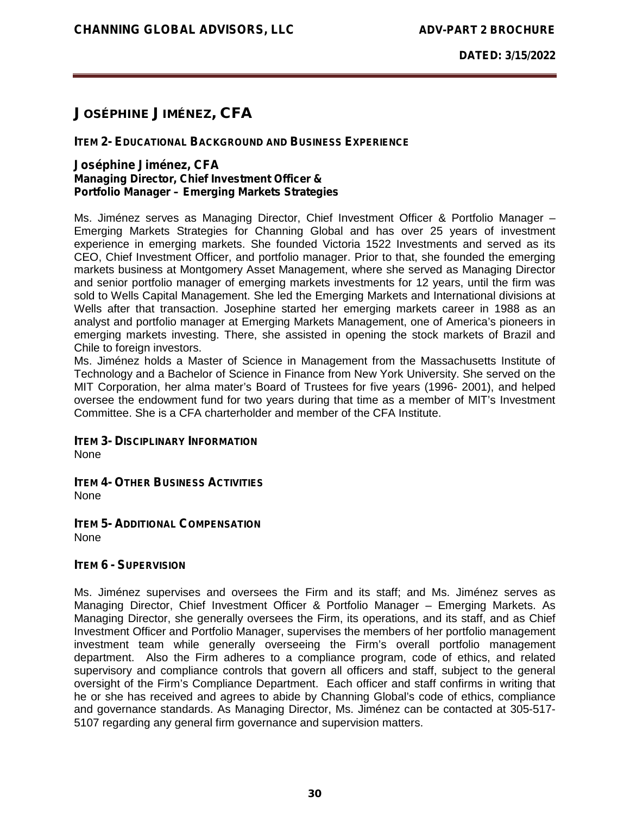# **JOSÉPHINE JIMÉNEZ, CFA**

#### **ITEM 2- EDUCATIONAL BACKGROUND AND BUSINESS EXPERIENCE**

#### **Joséphine Jiménez, CFA** *Managing Director, Chief Investment Officer & Portfolio Manager – Emerging Markets Strategies*

Ms. Jiménez serves as Managing Director, Chief Investment Officer & Portfolio Manager – Emerging Markets Strategies for Channing Global and has over 25 years of investment experience in emerging markets. She founded Victoria 1522 Investments and served as its CEO, Chief Investment Officer, and portfolio manager. Prior to that, she founded the emerging markets business at Montgomery Asset Management, where she served as Managing Director and senior portfolio manager of emerging markets investments for 12 years, until the firm was sold to Wells Capital Management. She led the Emerging Markets and International divisions at Wells after that transaction. Josephine started her emerging markets career in 1988 as an analyst and portfolio manager at Emerging Markets Management, one of America's pioneers in emerging markets investing. There, she assisted in opening the stock markets of Brazil and Chile to foreign investors.

Ms. Jiménez holds a Master of Science in Management from the Massachusetts Institute of Technology and a Bachelor of Science in Finance from New York University. She served on the MIT Corporation, her alma mater's Board of Trustees for five years (1996- 2001), and helped oversee the endowment fund for two years during that time as a member of MIT's Investment Committee. She is a CFA charterholder and member of the CFA Institute.

**ITEM 3- DISCIPLINARY INFORMATION** None

**ITEM 4- OTHER BUSINESS ACTIVITIES**

None

**ITEM 5- ADDITIONAL COMPENSATION** None

#### **ITEM 6 - SUPERVISION**

Ms. Jiménez supervises and oversees the Firm and its staff; and Ms. Jiménez serves as Managing Director, Chief Investment Officer & Portfolio Manager – Emerging Markets. As Managing Director, she generally oversees the Firm, its operations, and its staff, and as Chief Investment Officer and Portfolio Manager, supervises the members of her portfolio management investment team while generally overseeing the Firm's overall portfolio management department. Also the Firm adheres to a compliance program, code of ethics, and related supervisory and compliance controls that govern all officers and staff, subject to the general oversight of the Firm's Compliance Department. Each officer and staff confirms in writing that he or she has received and agrees to abide by Channing Global's code of ethics, compliance and governance standards. As Managing Director, Ms. Jiménez can be contacted at 305-517- 5107 regarding any general firm governance and supervision matters.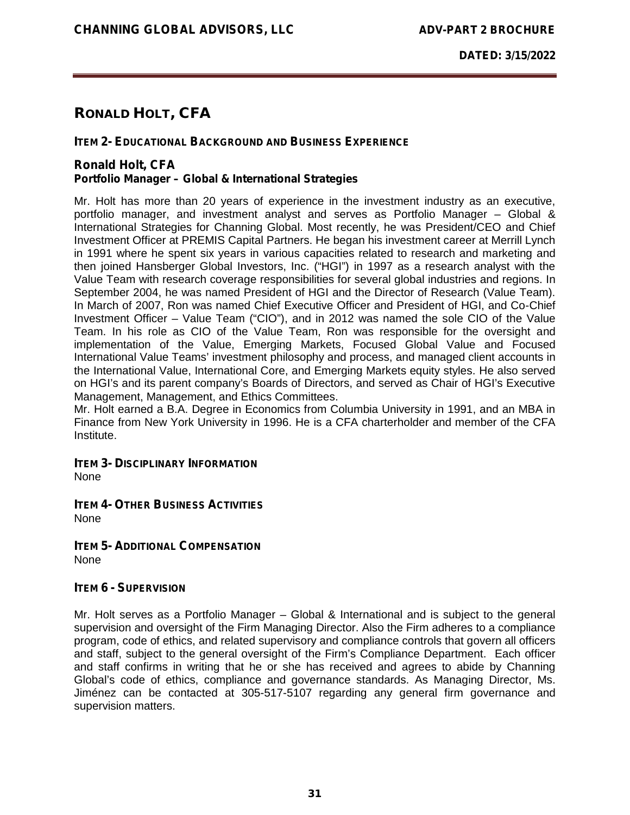# **RONALD HOLT, CFA**

#### **ITEM 2- EDUCATIONAL BACKGROUND AND BUSINESS EXPERIENCE**

#### **Ronald Holt, CFA** *Portfolio Manager – Global & International Strategies*

Mr. Holt has more than 20 years of experience in the investment industry as an executive, portfolio manager, and investment analyst and serves as Portfolio Manager – Global & International Strategies for Channing Global. Most recently, he was President/CEO and Chief Investment Officer at PREMIS Capital Partners. He began his investment career at Merrill Lynch in 1991 where he spent six years in various capacities related to research and marketing and then joined Hansberger Global Investors, Inc. ("HGI") in 1997 as a research analyst with the Value Team with research coverage responsibilities for several global industries and regions. In September 2004, he was named President of HGI and the Director of Research (Value Team). In March of 2007, Ron was named Chief Executive Officer and President of HGI, and Co-Chief Investment Officer – Value Team ("CIO"), and in 2012 was named the sole CIO of the Value Team. In his role as CIO of the Value Team, Ron was responsible for the oversight and implementation of the Value, Emerging Markets, Focused Global Value and Focused International Value Teams' investment philosophy and process, and managed client accounts in the International Value, International Core, and Emerging Markets equity styles. He also served on HGI's and its parent company's Boards of Directors, and served as Chair of HGI's Executive Management, Management, and Ethics Committees.

Mr. Holt earned a B.A. Degree in Economics from Columbia University in 1991, and an MBA in Finance from New York University in 1996. He is a CFA charterholder and member of the CFA **Institute** 

**ITEM 3- DISCIPLINARY INFORMATION** None

**ITEM 4- OTHER BUSINESS ACTIVITIES** None

**ITEM 5- ADDITIONAL COMPENSATION** None

#### **ITEM 6 - SUPERVISION**

Mr. Holt serves as a Portfolio Manager – Global & International and is subject to the general supervision and oversight of the Firm Managing Director. Also the Firm adheres to a compliance program, code of ethics, and related supervisory and compliance controls that govern all officers and staff, subject to the general oversight of the Firm's Compliance Department. Each officer and staff confirms in writing that he or she has received and agrees to abide by Channing Global's code of ethics, compliance and governance standards. As Managing Director, Ms. Jiménez can be contacted at 305-517-5107 regarding any general firm governance and supervision matters.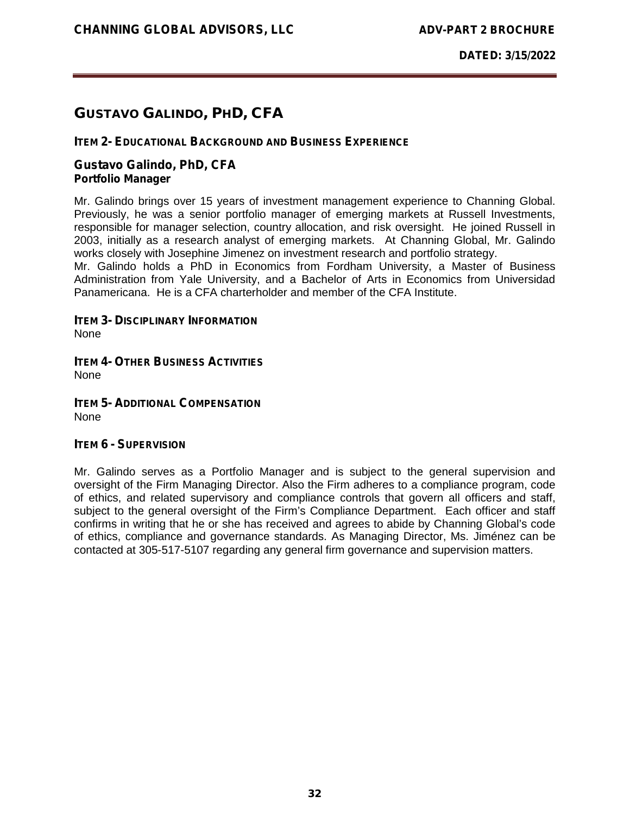# **GUSTAVO GALINDO, PHD, CFA**

#### **ITEM 2- EDUCATIONAL BACKGROUND AND BUSINESS EXPERIENCE**

#### **Gustavo Galindo, PhD, CFA** *Portfolio Manager*

Mr. Galindo brings over 15 years of investment management experience to Channing Global. Previously, he was a senior portfolio manager of emerging markets at Russell Investments, responsible for manager selection, country allocation, and risk oversight. He joined Russell in 2003, initially as a research analyst of emerging markets. At Channing Global, Mr. Galindo works closely with Josephine Jimenez on investment research and portfolio strategy.

Mr. Galindo holds a PhD in Economics from Fordham University, a Master of Business Administration from Yale University, and a Bachelor of Arts in Economics from Universidad Panamericana. He is a CFA charterholder and member of the CFA Institute.

#### **ITEM 3- DISCIPLINARY INFORMATION**

None

**ITEM 4- OTHER BUSINESS ACTIVITIES** None

**ITEM 5- ADDITIONAL COMPENSATION** None

#### **ITEM 6 - SUPERVISION**

Mr. Galindo serves as a Portfolio Manager and is subject to the general supervision and oversight of the Firm Managing Director. Also the Firm adheres to a compliance program, code of ethics, and related supervisory and compliance controls that govern all officers and staff, subject to the general oversight of the Firm's Compliance Department. Each officer and staff confirms in writing that he or she has received and agrees to abide by Channing Global's code of ethics, compliance and governance standards. As Managing Director, Ms. Jiménez can be contacted at 305-517-5107 regarding any general firm governance and supervision matters.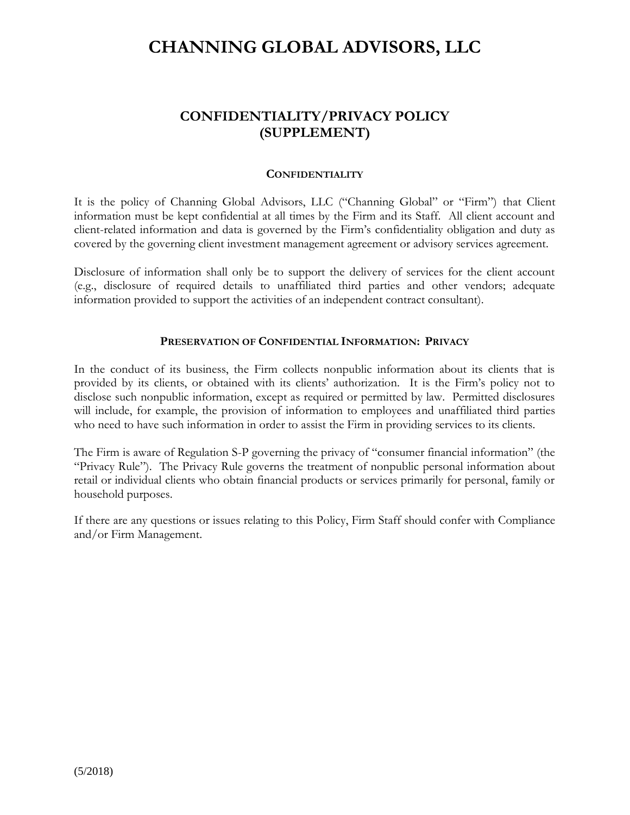# **CHANNING GLOBAL ADVISORS, LLC**

# **CONFIDENTIALITY/PRIVACY POLICY (SUPPLEMENT)**

#### **CONFIDENTIALITY**

It is the policy of Channing Global Advisors, LLC ("Channing Global" or "Firm") that Client information must be kept confidential at all times by the Firm and its Staff. All client account and client-related information and data is governed by the Firm's confidentiality obligation and duty as covered by the governing client investment management agreement or advisory services agreement.

Disclosure of information shall only be to support the delivery of services for the client account (e.g., disclosure of required details to unaffiliated third parties and other vendors; adequate information provided to support the activities of an independent contract consultant).

#### **PRESERVATION OF CONFIDENTIAL INFORMATION: PRIVACY**

In the conduct of its business, the Firm collects nonpublic information about its clients that is provided by its clients, or obtained with its clients' authorization. It is the Firm's policy not to disclose such nonpublic information, except as required or permitted by law. Permitted disclosures will include, for example, the provision of information to employees and unaffiliated third parties who need to have such information in order to assist the Firm in providing services to its clients.

The Firm is aware of Regulation S-P governing the privacy of "consumer financial information" (the "Privacy Rule"). The Privacy Rule governs the treatment of nonpublic personal information about retail or individual clients who obtain financial products or services primarily for personal, family or household purposes.

If there are any questions or issues relating to this Policy, Firm Staff should confer with Compliance and/or Firm Management.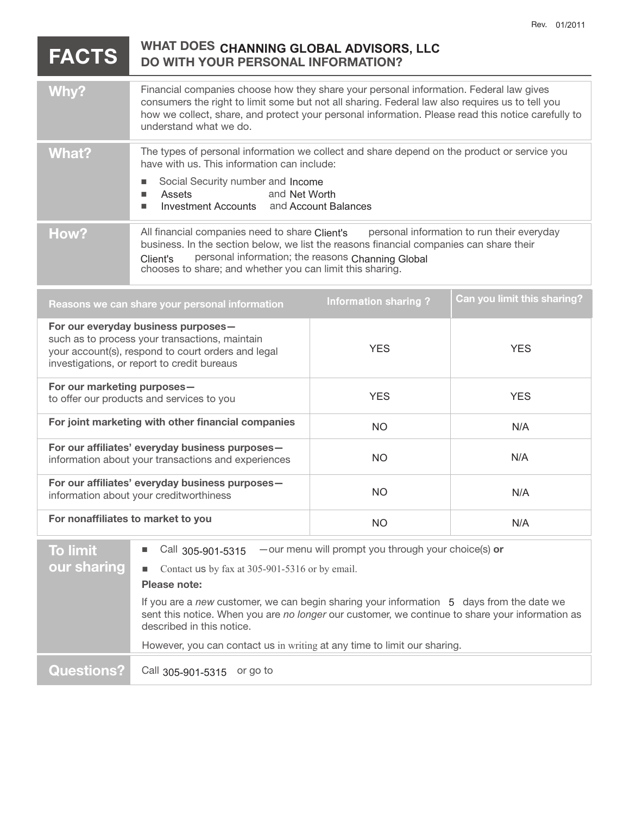#### $FACTS$ **DO WITH YOUR PERSONAL INFORMATION?**  Why? **Financial companies choose how they share your personal information. Federal law gives** consumers the right to limit some but not all sharing. Federal law also requires us to tell you how we collect, share, and protect your personal information. Please read this notice carefully to understand what we do. What? The types of personal information we collect and share depend on the product or service you have with us. This information can include: **BED Social Security number and Income** ■ Assets **Investment Accounts and Account Balances** How? All financial companies need to share Client's personal information to run their everyday business. In the section below, we list the reasons financial companies can share their personal information; the reasons Client's Channing Global chooses to share; and whether you can limit this sharing. **Reasons we can share your personal information Can you limit this sharing? For our everyday business purposes**  such as to process your transactions, maintain your account(s), respond to court orders and legal investigations, or report to credit bureaus **For our marketing purposes**  to offer our products and services to you For joint marketing with other financial companies **For our affiliates' everyday business purposes**  information about your transactions and experiences **For our affiliates' everyday business purposes**  information about your creditworthiness **For nonaffiliates to market to you To limit**  ! Call —our menu will prompt you through your choice(s) **or**  and Net Worth All financial companies need to share Client's YES YES YES YES NO N/A NO N/A NO N/A NO N/A **WHAT DOES CHANNING GLOBAL ADVISORS, LLC Information sharing ?** Call 205-004-5345

| <b>TO HIMIL</b>   | ് <sup>all</sup> 305-901-5315<br>- - our menu will prompt you unough your choice(s) or                                                                                                                                   |  |  |
|-------------------|--------------------------------------------------------------------------------------------------------------------------------------------------------------------------------------------------------------------------|--|--|
| our sharing       | Contact us by fax at $305-901-5316$ or by email.<br>Please note:                                                                                                                                                         |  |  |
|                   |                                                                                                                                                                                                                          |  |  |
|                   | If you are a new customer, we can begin sharing your information 5 days from the date we<br>sent this notice. When you are no longer our customer, we continue to share your information as<br>described in this notice. |  |  |
|                   | However, you can contact us in writing at any time to limit our sharing.                                                                                                                                                 |  |  |
| <b>Questions?</b> | Call 305-901-5315 or go to                                                                                                                                                                                               |  |  |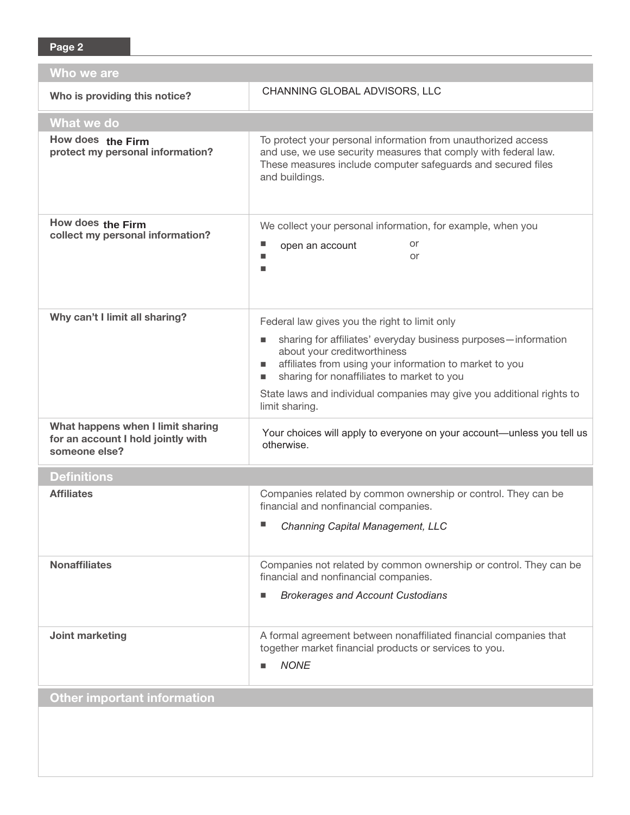| Who we are                                                                               |                                                                                                                                                                                                                    |  |  |
|------------------------------------------------------------------------------------------|--------------------------------------------------------------------------------------------------------------------------------------------------------------------------------------------------------------------|--|--|
| Who is providing this notice?                                                            | CHANNING GLOBAL ADVISORS, LLC                                                                                                                                                                                      |  |  |
| What we do                                                                               |                                                                                                                                                                                                                    |  |  |
| How does the Firm<br>protect my personal information?                                    | To protect your personal information from unauthorized access<br>and use, we use security measures that comply with federal law.<br>These measures include computer safeguards and secured files<br>and buildings. |  |  |
| How does the Firm<br>collect my personal information?                                    | We collect your personal information, for example, when you                                                                                                                                                        |  |  |
|                                                                                          | or<br>open an account<br>or<br>■                                                                                                                                                                                   |  |  |
| Why can't I limit all sharing?                                                           | Federal law gives you the right to limit only                                                                                                                                                                      |  |  |
|                                                                                          | sharing for affiliates' everyday business purposes-information<br>about your creditworthiness<br>affiliates from using your information to market to you<br>п<br>sharing for nonaffiliates to market to you<br>ш   |  |  |
|                                                                                          | State laws and individual companies may give you additional rights to<br>limit sharing.                                                                                                                            |  |  |
| What happens when I limit sharing<br>for an account I hold jointly with<br>someone else? | Your choices will apply to everyone on your account-unless you tell us<br>otherwise.                                                                                                                               |  |  |
| <b>Definitions</b>                                                                       |                                                                                                                                                                                                                    |  |  |
| <b>Affiliates</b>                                                                        | Companies related by common ownership or control. They can be<br>financial and nonfinancial companies.                                                                                                             |  |  |
|                                                                                          | <b>Channing Capital Management, LLC</b>                                                                                                                                                                            |  |  |
| <b>Nonaffiliates</b>                                                                     | Companies not related by common ownership or control. They can be<br>financial and nonfinancial companies.                                                                                                         |  |  |
|                                                                                          | <b>Brokerages and Account Custodians</b><br>■                                                                                                                                                                      |  |  |
| Joint marketing                                                                          | A formal agreement between nonaffiliated financial companies that<br>together market financial products or services to you.<br><b>NONE</b><br>П                                                                    |  |  |
| <b>Other important information</b>                                                       |                                                                                                                                                                                                                    |  |  |
|                                                                                          |                                                                                                                                                                                                                    |  |  |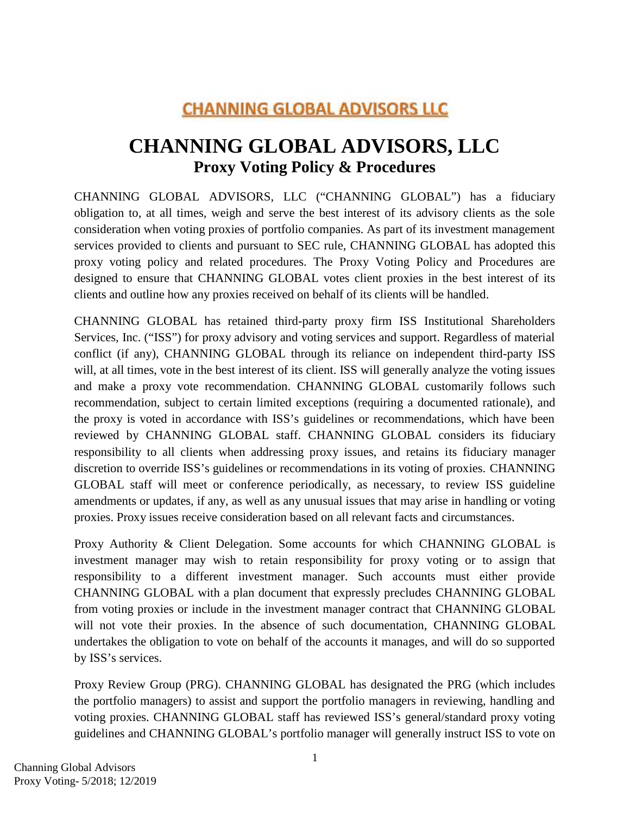# **CHANNING GLOBAL ADVISORS LLC**

# **CHANNING GLOBAL ADVISORS, LLC Proxy Voting Policy & Procedures**

CHANNING GLOBAL ADVISORS, LLC ("CHANNING GLOBAL") has a fiduciary obligation to, at all times, weigh and serve the best interest of its advisory clients as the sole consideration when voting proxies of portfolio companies. As part of its investment management services provided to clients and pursuant to SEC rule, CHANNING GLOBAL has adopted this proxy voting policy and related procedures. The Proxy Voting Policy and Procedures are designed to ensure that CHANNING GLOBAL votes client proxies in the best interest of its clients and outline how any proxies received on behalf of its clients will be handled.

CHANNING GLOBAL has retained third-party proxy firm ISS Institutional Shareholders Services, Inc. ("ISS") for proxy advisory and voting services and support. Regardless of material conflict (if any), CHANNING GLOBAL through its reliance on independent third-party ISS will, at all times, vote in the best interest of its client. ISS will generally analyze the voting issues and make a proxy vote recommendation. CHANNING GLOBAL customarily follows such recommendation, subject to certain limited exceptions (requiring a documented rationale), and the proxy is voted in accordance with ISS's guidelines or recommendations, which have been reviewed by CHANNING GLOBAL staff. CHANNING GLOBAL considers its fiduciary responsibility to all clients when addressing proxy issues, and retains its fiduciary manager discretion to override ISS's guidelines or recommendations in its voting of proxies. CHANNING GLOBAL staff will meet or conference periodically, as necessary, to review ISS guideline amendments or updates, if any, as well as any unusual issues that may arise in handling or voting proxies. Proxy issues receive consideration based on all relevant facts and circumstances.

Proxy Authority & Client Delegation. Some accounts for which CHANNING GLOBAL is investment manager may wish to retain responsibility for proxy voting or to assign that responsibility to a different investment manager. Such accounts must either provide CHANNING GLOBAL with a plan document that expressly precludes CHANNING GLOBAL from voting proxies or include in the investment manager contract that CHANNING GLOBAL will not vote their proxies. In the absence of such documentation, CHANNING GLOBAL undertakes the obligation to vote on behalf of the accounts it manages, and will do so supported by ISS's services.

Proxy Review Group (PRG). CHANNING GLOBAL has designated the PRG (which includes the portfolio managers) to assist and support the portfolio managers in reviewing, handling and voting proxies. CHANNING GLOBAL staff has reviewed ISS's general/standard proxy voting guidelines and CHANNING GLOBAL's portfolio manager will generally instruct ISS to vote on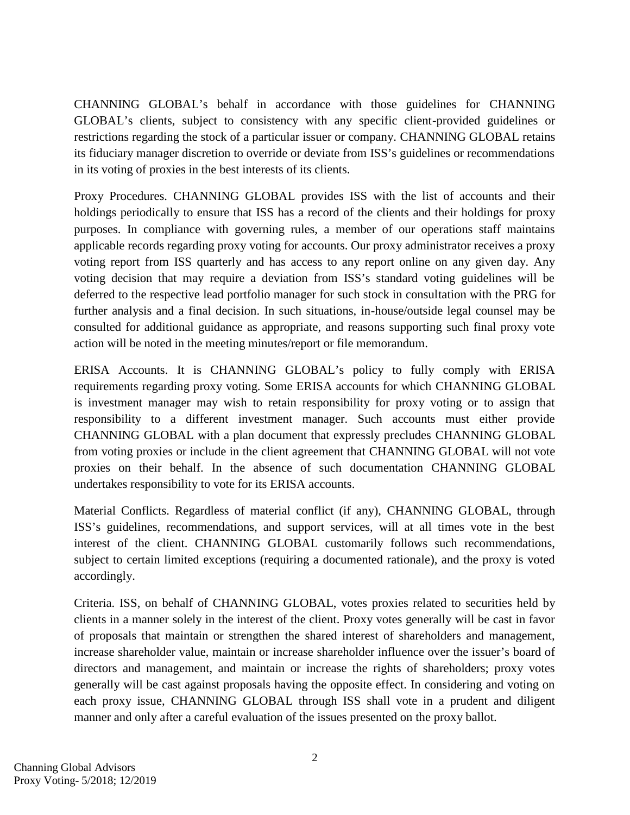CHANNING GLOBAL's behalf in accordance with those guidelines for CHANNING GLOBAL's clients, subject to consistency with any specific client-provided guidelines or restrictions regarding the stock of a particular issuer or company. CHANNING GLOBAL retains its fiduciary manager discretion to override or deviate from ISS's guidelines or recommendations in its voting of proxies in the best interests of its clients.

Proxy Procedures. CHANNING GLOBAL provides ISS with the list of accounts and their holdings periodically to ensure that ISS has a record of the clients and their holdings for proxy purposes. In compliance with governing rules, a member of our operations staff maintains applicable records regarding proxy voting for accounts. Our proxy administrator receives a proxy voting report from ISS quarterly and has access to any report online on any given day. Any voting decision that may require a deviation from ISS's standard voting guidelines will be deferred to the respective lead portfolio manager for such stock in consultation with the PRG for further analysis and a final decision. In such situations, in-house/outside legal counsel may be consulted for additional guidance as appropriate, and reasons supporting such final proxy vote action will be noted in the meeting minutes/report or file memorandum.

ERISA Accounts. It is CHANNING GLOBAL's policy to fully comply with ERISA requirements regarding proxy voting. Some ERISA accounts for which CHANNING GLOBAL is investment manager may wish to retain responsibility for proxy voting or to assign that responsibility to a different investment manager. Such accounts must either provide CHANNING GLOBAL with a plan document that expressly precludes CHANNING GLOBAL from voting proxies or include in the client agreement that CHANNING GLOBAL will not vote proxies on their behalf. In the absence of such documentation CHANNING GLOBAL undertakes responsibility to vote for its ERISA accounts.

Material Conflicts. Regardless of material conflict (if any), CHANNING GLOBAL, through ISS's guidelines, recommendations, and support services, will at all times vote in the best interest of the client. CHANNING GLOBAL customarily follows such recommendations, subject to certain limited exceptions (requiring a documented rationale), and the proxy is voted accordingly.

Criteria. ISS, on behalf of CHANNING GLOBAL, votes proxies related to securities held by clients in a manner solely in the interest of the client. Proxy votes generally will be cast in favor of proposals that maintain or strengthen the shared interest of shareholders and management, increase shareholder value, maintain or increase shareholder influence over the issuer's board of directors and management, and maintain or increase the rights of shareholders; proxy votes generally will be cast against proposals having the opposite effect. In considering and voting on each proxy issue, CHANNING GLOBAL through ISS shall vote in a prudent and diligent manner and only after a careful evaluation of the issues presented on the proxy ballot.